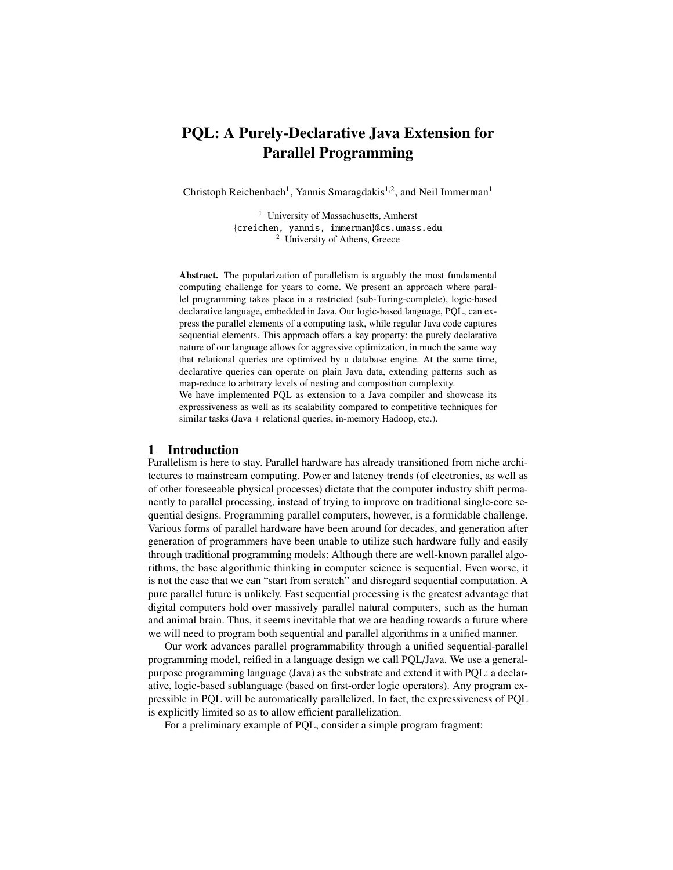# PQL: A Purely-Declarative Java Extension for Parallel Programming

Christoph Reichenbach<sup>1</sup>, Yannis Smaragdakis<sup>1,2</sup>, and Neil Immerman<sup>1</sup>

<sup>1</sup> University of Massachusetts, Amherst {creichen, yannis, immerman}@cs.umass.edu <sup>2</sup> University of Athens, Greece

Abstract. The popularization of parallelism is arguably the most fundamental computing challenge for years to come. We present an approach where parallel programming takes place in a restricted (sub-Turing-complete), logic-based declarative language, embedded in Java. Our logic-based language, PQL, can express the parallel elements of a computing task, while regular Java code captures sequential elements. This approach offers a key property: the purely declarative nature of our language allows for aggressive optimization, in much the same way that relational queries are optimized by a database engine. At the same time, declarative queries can operate on plain Java data, extending patterns such as map-reduce to arbitrary levels of nesting and composition complexity. We have implemented PQL as extension to a Java compiler and showcase its expressiveness as well as its scalability compared to competitive techniques for similar tasks (Java + relational queries, in-memory Hadoop, etc.).

### 1 Introduction

Parallelism is here to stay. Parallel hardware has already transitioned from niche architectures to mainstream computing. Power and latency trends (of electronics, as well as of other foreseeable physical processes) dictate that the computer industry shift permanently to parallel processing, instead of trying to improve on traditional single-core sequential designs. Programming parallel computers, however, is a formidable challenge. Various forms of parallel hardware have been around for decades, and generation after generation of programmers have been unable to utilize such hardware fully and easily through traditional programming models: Although there are well-known parallel algorithms, the base algorithmic thinking in computer science is sequential. Even worse, it is not the case that we can "start from scratch" and disregard sequential computation. A pure parallel future is unlikely. Fast sequential processing is the greatest advantage that digital computers hold over massively parallel natural computers, such as the human and animal brain. Thus, it seems inevitable that we are heading towards a future where we will need to program both sequential and parallel algorithms in a unified manner.

Our work advances parallel programmability through a unified sequential-parallel programming model, reified in a language design we call PQL/Java. We use a generalpurpose programming language (Java) as the substrate and extend it with PQL: a declarative, logic-based sublanguage (based on first-order logic operators). Any program expressible in PQL will be automatically parallelized. In fact, the expressiveness of PQL is explicitly limited so as to allow efficient parallelization.

For a preliminary example of PQL, consider a simple program fragment: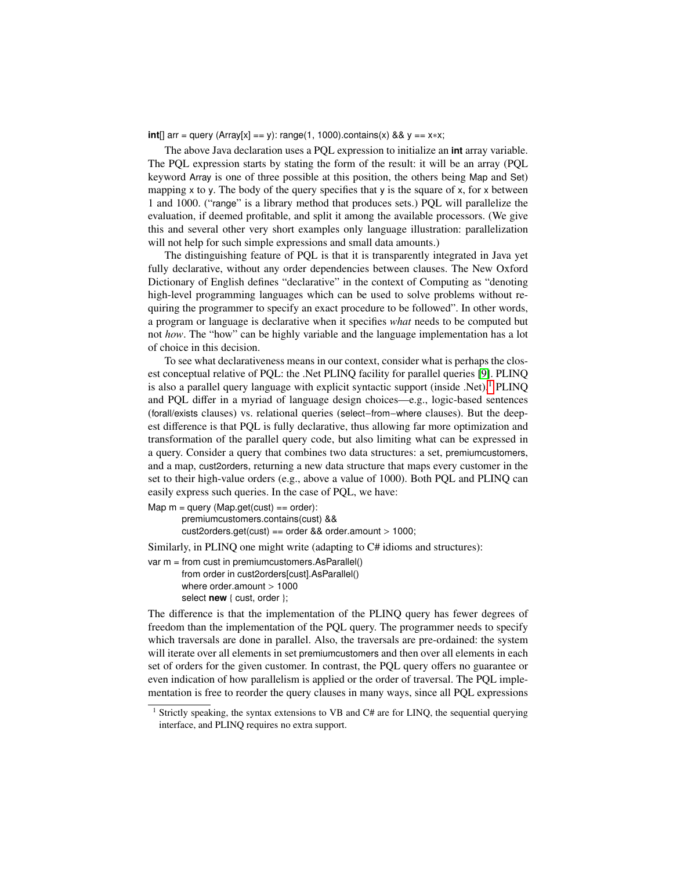**int**[] arr = query (Array[x] == y): range(1, 1000).contains(x) && y == x∗x;

The above Java declaration uses a PQL expression to initialize an **int** array variable. The PQL expression starts by stating the form of the result: it will be an array (PQL keyword Array is one of three possible at this position, the others being Map and Set) mapping x to y. The body of the query specifies that  $y$  is the square of x, for x between 1 and 1000. ("range" is a library method that produces sets.) PQL will parallelize the evaluation, if deemed profitable, and split it among the available processors. (We give this and several other very short examples only language illustration: parallelization will not help for such simple expressions and small data amounts.)

The distinguishing feature of PQL is that it is transparently integrated in Java yet fully declarative, without any order dependencies between clauses. The New Oxford Dictionary of English defines "declarative" in the context of Computing as "denoting high-level programming languages which can be used to solve problems without requiring the programmer to specify an exact procedure to be followed". In other words, a program or language is declarative when it specifies *what* needs to be computed but not *how*. The "how" can be highly variable and the language implementation has a lot of choice in this decision.

To see what declarativeness means in our context, consider what is perhaps the closest conceptual relative of PQL: the .Net PLINQ facility for parallel queries [\[9\]](#page-24-0). PLINQ is also a parallel query language with explicit syntactic support (inside .Net).<sup>[1](#page-1-0)</sup> PLINQ and PQL differ in a myriad of language design choices—e.g., logic-based sentences (forall/exists clauses) vs. relational queries (select−from−where clauses). But the deepest difference is that PQL is fully declarative, thus allowing far more optimization and transformation of the parallel query code, but also limiting what can be expressed in a query. Consider a query that combines two data structures: a set, premiumcustomers, and a map, cust2orders, returning a new data structure that maps every customer in the set to their high-value orders (e.g., above a value of 1000). Both PQL and PLINQ can easily express such queries. In the case of PQL, we have:

Map  $m =$  query (Map.get(cust) == order): premiumcustomers.contains(cust) &&

cust2orders.get(cust) == order && order.amount > 1000;

Similarly, in PLINQ one might write (adapting to C# idioms and structures):

var m = from cust in premiumcustomers.AsParallel() from order in cust2orders[cust].AsParallel() where order.amount > 1000 select **new** { cust, order };

The difference is that the implementation of the PLINQ query has fewer degrees of freedom than the implementation of the PQL query. The programmer needs to specify which traversals are done in parallel. Also, the traversals are pre-ordained: the system will iterate over all elements in set premiumcustomers and then over all elements in each set of orders for the given customer. In contrast, the PQL query offers no guarantee or even indication of how parallelism is applied or the order of traversal. The PQL implementation is free to reorder the query clauses in many ways, since all PQL expressions

<span id="page-1-0"></span><sup>&</sup>lt;sup>1</sup> Strictly speaking, the syntax extensions to VB and C# are for LINQ, the sequential querying interface, and PLINQ requires no extra support.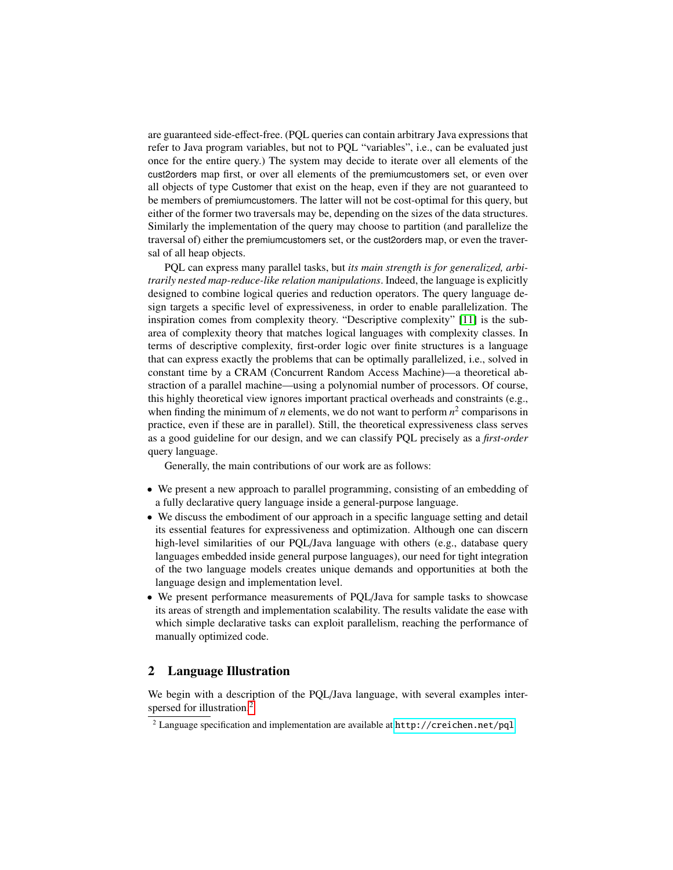are guaranteed side-effect-free. (PQL queries can contain arbitrary Java expressions that refer to Java program variables, but not to PQL "variables", i.e., can be evaluated just once for the entire query.) The system may decide to iterate over all elements of the cust2orders map first, or over all elements of the premiumcustomers set, or even over all objects of type Customer that exist on the heap, even if they are not guaranteed to be members of premiumcustomers. The latter will not be cost-optimal for this query, but either of the former two traversals may be, depending on the sizes of the data structures. Similarly the implementation of the query may choose to partition (and parallelize the traversal of) either the premiumcustomers set, or the cust2orders map, or even the traversal of all heap objects.

PQL can express many parallel tasks, but *its main strength is for generalized, arbitrarily nested map-reduce-like relation manipulations*. Indeed, the language is explicitly designed to combine logical queries and reduction operators. The query language design targets a specific level of expressiveness, in order to enable parallelization. The inspiration comes from complexity theory. "Descriptive complexity" [\[11\]](#page-24-1) is the subarea of complexity theory that matches logical languages with complexity classes. In terms of descriptive complexity, first-order logic over finite structures is a language that can express exactly the problems that can be optimally parallelized, i.e., solved in constant time by a CRAM (Concurrent Random Access Machine)—a theoretical abstraction of a parallel machine—using a polynomial number of processors. Of course, this highly theoretical view ignores important practical overheads and constraints (e.g., when finding the minimum of *n* elements, we do not want to perform  $n^2$  comparisons in practice, even if these are in parallel). Still, the theoretical expressiveness class serves as a good guideline for our design, and we can classify PQL precisely as a *first-order* query language.

Generally, the main contributions of our work are as follows:

- We present a new approach to parallel programming, consisting of an embedding of a fully declarative query language inside a general-purpose language.
- We discuss the embodiment of our approach in a specific language setting and detail its essential features for expressiveness and optimization. Although one can discern high-level similarities of our PQL/Java language with others (e.g., database query languages embedded inside general purpose languages), our need for tight integration of the two language models creates unique demands and opportunities at both the language design and implementation level.
- We present performance measurements of PQL/Java for sample tasks to showcase its areas of strength and implementation scalability. The results validate the ease with which simple declarative tasks can exploit parallelism, reaching the performance of manually optimized code.

# 2 Language Illustration

We begin with a description of the PQL/Java language, with several examples inter-spersed for illustration.<sup>[2](#page-2-0)</sup>

<span id="page-2-0"></span><sup>2</sup> Language specification and implementation are available at <http://creichen.net/pql>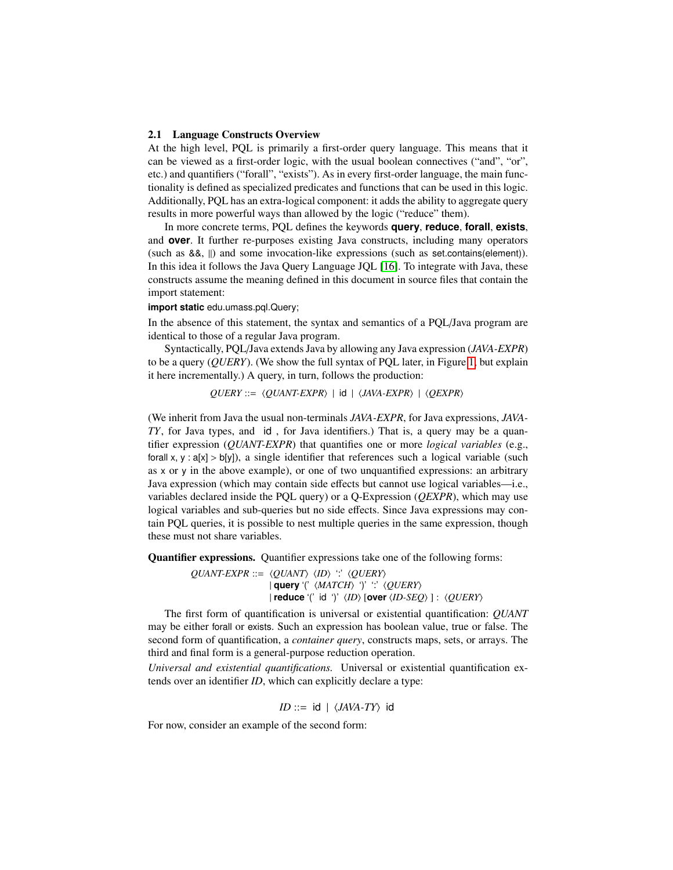#### 2.1 Language Constructs Overview

At the high level, PQL is primarily a first-order query language. This means that it can be viewed as a first-order logic, with the usual boolean connectives ("and", "or", etc.) and quantifiers ("forall", "exists"). As in every first-order language, the main functionality is defined as specialized predicates and functions that can be used in this logic. Additionally, PQL has an extra-logical component: it adds the ability to aggregate query results in more powerful ways than allowed by the logic ("reduce" them).

In more concrete terms, PQL defines the keywords **query**, **reduce**, **forall**, **exists**, and **over**. It further re-purposes existing Java constructs, including many operators (such as &&, ||) and some invocation-like expressions (such as set.contains(element)). In this idea it follows the Java Query Language JQL [\[16\]](#page-24-2). To integrate with Java, these constructs assume the meaning defined in this document in source files that contain the import statement:

### **import static** edu.umass.pql.Query;

In the absence of this statement, the syntax and semantics of a PQL/Java program are identical to those of a regular Java program.

Syntactically, PQL/Java extends Java by allowing any Java expression (*JAVA-EXPR*) to be a query (*QUERY*). (We show the full syntax of PQL later, in Figure [1,](#page-5-0) but explain it here incrementally.) A query, in turn, follows the production:

 $\angle QUERN$  ::=  $\langle \angle QUANT-EXPR \rangle$  | id |  $\langle JAVA-EXPR \rangle$  |  $\langle QEXPR \rangle$ 

(We inherit from Java the usual non-terminals *JAVA-EXPR*, for Java expressions, *JAVA-TY*, for Java types, and id , for Java identifiers.) That is, a query may be a quantifier expression (*QUANT-EXPR*) that quantifies one or more *logical variables* (e.g., forall x, y :  $a[x] > b[y]$ , a single identifier that references such a logical variable (such as x or y in the above example), or one of two unquantified expressions: an arbitrary Java expression (which may contain side effects but cannot use logical variables—i.e., variables declared inside the PQL query) or a Q-Expression (*QEXPR*), which may use logical variables and sub-queries but no side effects. Since Java expressions may contain PQL queries, it is possible to nest multiple queries in the same expression, though these must not share variables.

Quantifier expressions. Quantifier expressions take one of the following forms:

*QUANT-EXPR* ::=  $\langle QUANT \rangle$   $\langle ID \rangle$  ':'  $\langle QUERT \rangle$ | **query** '(' h*MATCH*i ')' ':' h*QUERY*i | **reduce** '(' id ')'  $\langle ID \rangle$  [over  $\langle ID\text{-}SEQ \rangle$  ] :  $\langle QUERN \rangle$ 

The first form of quantification is universal or existential quantification: *QUANT* may be either forall or exists. Such an expression has boolean value, true or false. The second form of quantification, a *container query*, constructs maps, sets, or arrays. The third and final form is a general-purpose reduction operation.

*Universal and existential quantifications.* Universal or existential quantification extends over an identifier *ID*, which can explicitly declare a type:

$$
ID ::= id \mid \langle JAVA \text{-} TY \rangle \text{ id}
$$

For now, consider an example of the second form: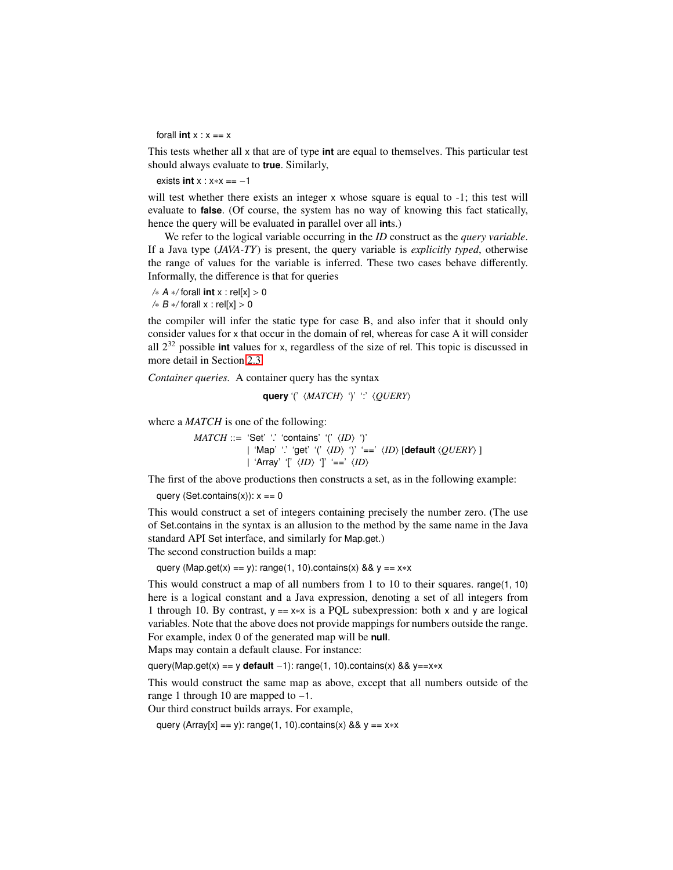forall **int**  $x : x == x$ 

This tests whether all x that are of type **int** are equal to themselves. This particular test should always evaluate to **true**. Similarly,

exists **int**  $x : x \times x == -1$ 

will test whether there exists an integer x whose square is equal to -1; this test will evaluate to **false**. (Of course, the system has no way of knowing this fact statically, hence the query will be evaluated in parallel over all **int**s.)

We refer to the logical variable occurring in the *ID* construct as the *query variable*. If a Java type (*JAVA-TY*) is present, the query variable is *explicitly typed*, otherwise the range of values for the variable is inferred. These two cases behave differently. Informally, the difference is that for queries

```
/∗ A ∗/ forall int x : rel[x] > 0
/* B*/ forall x : rel[x] > 0
```
the compiler will infer the static type for case B, and also infer that it should only consider values for x that occur in the domain of rel, whereas for case A it will consider all 2<sup>32</sup> possible **int** values for x, regardless of the size of rel. This topic is discussed in more detail in Section [2.3.](#page-8-0)

*Container queries.* A container query has the syntax

**query** '('  $\langle MATCH \rangle$  ')' ':'  $\langle QUERN \rangle$ 

where a *MATCH* is one of the following:

 $MATCH ::= 'Set'$  ": "contains' '('  $\langle ID \rangle '$ )' | 'Map' '.' 'get' '('  $\langle ID \rangle$  ')' '=='  $\langle ID \rangle$  [**default**  $\langle QUERN \rangle$  ] | 'Array' '['  $\langle ID \rangle$  ']' '=='  $\langle ID \rangle$ 

The first of the above productions then constructs a set, as in the following example:

query (Set.contains $(x)$ ):  $x == 0$ 

This would construct a set of integers containing precisely the number zero. (The use of Set.contains in the syntax is an allusion to the method by the same name in the Java standard API Set interface, and similarly for Map.get.)

The second construction builds a map:

query (Map.get(x) == y): range(1, 10).contains(x) &&  $y = x*x$ 

This would construct a map of all numbers from 1 to 10 to their squares. range(1, 10) here is a logical constant and a Java expression, denoting a set of all integers from 1 through 10. By contrast,  $y = x*x$  is a PQL subexpression: both x and y are logical variables. Note that the above does not provide mappings for numbers outside the range. For example, index 0 of the generated map will be **null**.

Maps may contain a default clause. For instance:

query(Map.get(x) == y **default** −1): range(1, 10).contains(x) && y==x∗x

This would construct the same map as above, except that all numbers outside of the range 1 through 10 are mapped to −1.

Our third construct builds arrays. For example,

query (Array[x] == y): range(1, 10).contains(x) &&  $y = x*x$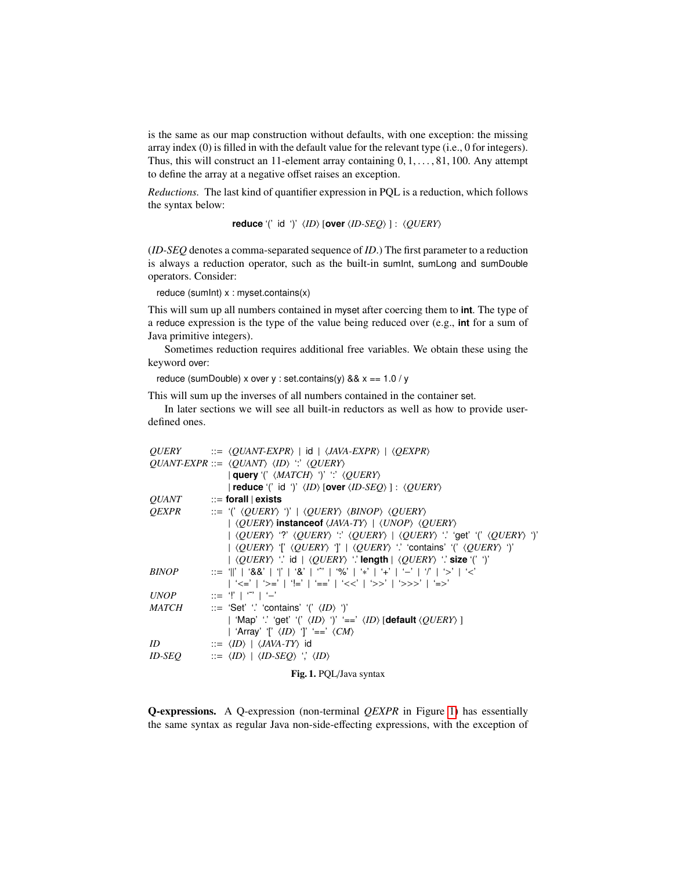is the same as our map construction without defaults, with one exception: the missing array index (0) is filled in with the default value for the relevant type (i.e., 0 for integers). Thus, this will construct an 11-element array containing 0, <sup>1</sup>, . . . , <sup>81</sup>, 100. Any attempt to define the array at a negative offset raises an exception.

*Reductions.* The last kind of quantifier expression in PQL is a reduction, which follows the syntax below:

**reduce** '(' id ')'  $\langle ID \rangle$  [**over**  $\langle ID\text{-}SEQ \rangle$  ] :  $\langle QUERN \rangle$ 

(*ID-SEQ* denotes a comma-separated sequence of *ID*.) The first parameter to a reduction is always a reduction operator, such as the built-in sumInt, sumLong and sumDouble operators. Consider:

reduce (sumInt) x : myset.contains(x)

This will sum up all numbers contained in myset after coercing them to **int**. The type of a reduce expression is the type of the value being reduced over (e.g., **int** for a sum of Java primitive integers).

Sometimes reduction requires additional free variables. We obtain these using the keyword over:

reduce (sumDouble) x over y : set.contains(y) &&  $x = 1.0 / y$ 

This will sum up the inverses of all numbers contained in the container set.

In later sections we will see all built-in reductors as well as how to provide userdefined ones.

| <i>OUERY</i> | $\therefore$ $\langle QUANT-EXPR \rangle$   id   $\langle JAVA - EXPR \rangle$   $\langle QEXPR \rangle$                                                                                            |
|--------------|-----------------------------------------------------------------------------------------------------------------------------------------------------------------------------------------------------|
|              | QUANT-EXPR ::= $\langle QUANT \rangle$ $\langle ID \rangle$ $\therefore$ $\langle QUERT \rangle$                                                                                                    |
|              | $\vert$ query '(' $\langle MATCH \rangle$ ')' ':' $\langle QUERN \rangle$                                                                                                                           |
|              | reduce '(' id ')' $\langle ID \rangle$ [over $\langle ID\text{-}SEQ \rangle$ ] : $\langle QUERN \rangle$                                                                                            |
| <i>QUANT</i> | $\cdots$ forall exists                                                                                                                                                                              |
| <i>QEXPR</i> | $\equiv$ '(' $\langle QUERN \rangle$ ')'   $\langle QUERN \rangle$ $\langle BINOP \rangle$ $\langle QUERN \rangle$                                                                                  |
|              | $ \langle QUERN \rangle$ instance of $\langle JAVA-TY \rangle$ $ \langle UNOP \rangle \langle QUERN \rangle$                                                                                        |
|              | $\langle QUERN \rangle$ '?' $\langle QUERN \rangle$ ':' $\langle QUERN \rangle$   $\langle QUERN \rangle$ '.' 'get' '(' $\langle QUERN \rangle$ ')'                                                 |
|              | $\langle$ (QUERY) $\langle$ (QUERY) $\langle$ (QUERY) $\langle$ 'contains' $\langle$ $\langle$ QUERY) $\rangle$                                                                                     |
|              | $\vert \langle \textit{QUERN} \rangle$ $\therefore$ id $\vert \langle \textit{QUERN} \rangle$ $\therefore$ length $\vert \langle \textit{QUERN} \rangle$ $\therefore$ size $\langle \rangle$ $\vee$ |
| <b>BINOP</b> | ::= '  '   '&&'   ' '   '&'   '^'   '%'   '*'   '+'   '−'   '/'   '>'   '<'                                                                                                                         |
|              | │'<='│'>='│'!='│'=='│'<<'│'>>'│'>>>'│'=>'                                                                                                                                                           |
| <i>UNOP</i>  | $\mathbb{R} = \mathbb{R}^n + \mathbb{Z}^n + \mathbb{Z}^n$                                                                                                                                           |
| <i>MATCH</i> | $\therefore$ 'Set' '.' 'contains' '(' $\langle ID \rangle$ ')'                                                                                                                                      |
|              | 'Map' '.' 'get' '(' $\langle ID \rangle$ ')' '==' $\langle ID \rangle$ [default $\langle QUERN \rangle$ ]                                                                                           |
|              | 'Array' '[' $\langle ID \rangle$ ']' '==' $\langle CM \rangle$                                                                                                                                      |
| ID           | $\Rightarrow$ $\langle ID \rangle$   $\langle JAVA-TY \rangle$ id                                                                                                                                   |
| ID-SEQ       | $\Rightarrow$ $\langle ID \rangle$   $\langle ID\text{-}SEO \rangle$ $\therefore$ $\langle ID \rangle$                                                                                              |
|              | Fig. 1. PQL/Java syntax                                                                                                                                                                             |

<span id="page-5-0"></span>Q-expressions. A Q-expression (non-terminal *QEXPR* in Figure [1\)](#page-5-0) has essentially the same syntax as regular Java non-side-effecting expressions, with the exception of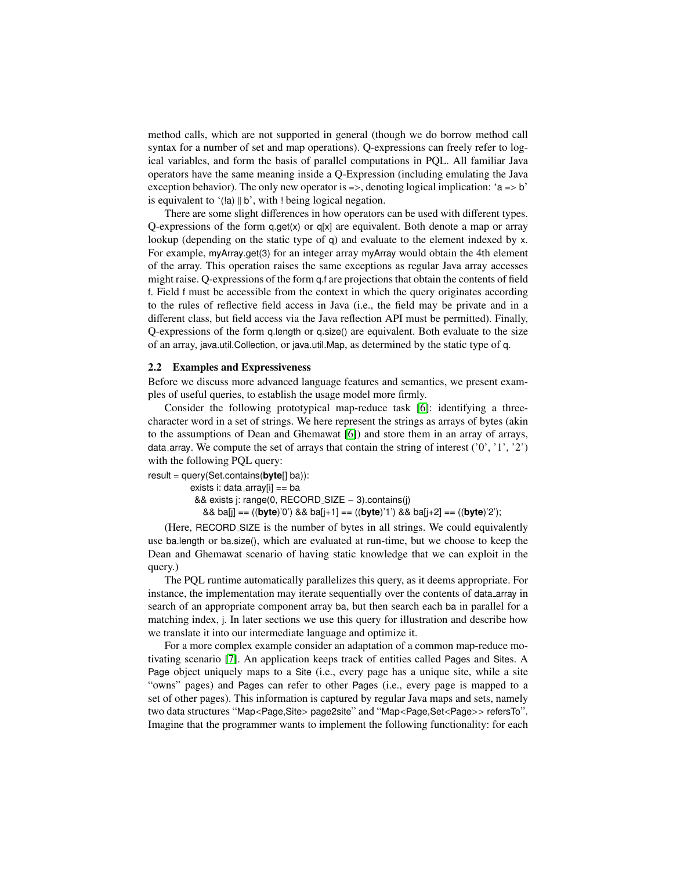method calls, which are not supported in general (though we do borrow method call syntax for a number of set and map operations). Q-expressions can freely refer to logical variables, and form the basis of parallel computations in PQL. All familiar Java operators have the same meaning inside a Q-Expression (including emulating the Java exception behavior). The only new operator is  $\Rightarrow$ , denoting logical implication: 'a  $\Rightarrow$  b' is equivalent to '( $|a\rangle \parallel b$ ', with ! being logical negation.

There are some slight differences in how operators can be used with different types. Q-expressions of the form q.get(x) or q[x] are equivalent. Both denote a map or array lookup (depending on the static type of q) and evaluate to the element indexed by x. For example, myArray.get(3) for an integer array myArray would obtain the 4th element of the array. This operation raises the same exceptions as regular Java array accesses might raise. Q-expressions of the form q.f are projections that obtain the contents of field f. Field f must be accessible from the context in which the query originates according to the rules of reflective field access in Java (i.e., the field may be private and in a different class, but field access via the Java reflection API must be permitted). Finally, Q-expressions of the form q.length or q.size() are equivalent. Both evaluate to the size of an array, java.util.Collection, or java.util.Map, as determined by the static type of q.

### <span id="page-6-0"></span>2.2 Examples and Expressiveness

Before we discuss more advanced language features and semantics, we present examples of useful queries, to establish the usage model more firmly.

Consider the following prototypical map-reduce task [\[6\]](#page-24-3): identifying a threecharacter word in a set of strings. We here represent the strings as arrays of bytes (akin to the assumptions of Dean and Ghemawat [\[6\]](#page-24-3)) and store them in an array of arrays, data array. We compute the set of arrays that contain the string of interest  $(0', 1', 2')$ with the following PQL query:

result = query(Set.contains(**byte**[] ba)):

exists i: data array[i] == ba && exists j: range(0, RECORD SIZE − 3).contains(j) && ba[j] == ((**byte**)'0') && ba[j+1] == ((**byte**)'1') && ba[j+2] == ((**byte**)'2');

(Here, RECORD SIZE is the number of bytes in all strings. We could equivalently use ba.length or ba.size(), which are evaluated at run-time, but we choose to keep the Dean and Ghemawat scenario of having static knowledge that we can exploit in the query.)

The PQL runtime automatically parallelizes this query, as it deems appropriate. For instance, the implementation may iterate sequentially over the contents of data array in search of an appropriate component array ba, but then search each ba in parallel for a matching index, j. In later sections we use this query for illustration and describe how we translate it into our intermediate language and optimize it.

For a more complex example consider an adaptation of a common map-reduce motivating scenario [\[7\]](#page-24-4). An application keeps track of entities called Pages and Sites. A Page object uniquely maps to a Site (i.e., every page has a unique site, while a site "owns" pages) and Pages can refer to other Pages (i.e., every page is mapped to a set of other pages). This information is captured by regular Java maps and sets, namely two data structures "Map<Page,Site> page2site" and "Map<Page,Set<Page>> refersTo". Imagine that the programmer wants to implement the following functionality: for each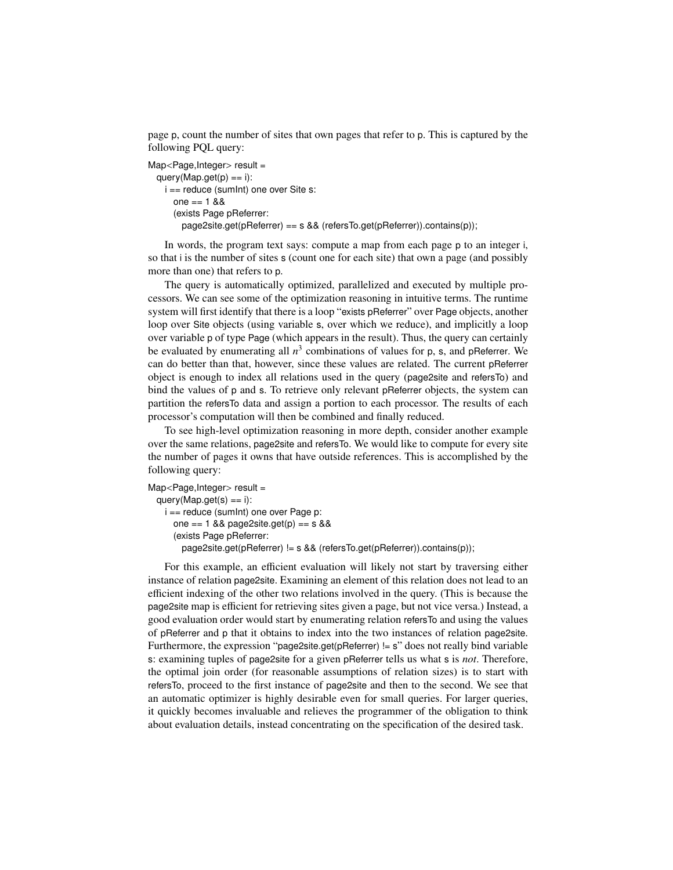page p, count the number of sites that own pages that refer to p. This is captured by the following PQL query:

```
Map<Page.Integer> result =
 query(Map.get(p) == i):
   i == reduce (sumInt) one over Site s:
     one == 1 &&
     (exists Page pReferrer:
       page2site.get(pReferrer) == s && (refersTo.get(pReferrer)).contains(p));
```
In words, the program text says: compute a map from each page p to an integer i, so that i is the number of sites s (count one for each site) that own a page (and possibly more than one) that refers to p.

The query is automatically optimized, parallelized and executed by multiple processors. We can see some of the optimization reasoning in intuitive terms. The runtime system will first identify that there is a loop "exists pReferrer" over Page objects, another loop over Site objects (using variable s, over which we reduce), and implicitly a loop over variable p of type Page (which appears in the result). Thus, the query can certainly be evaluated by enumerating all  $n^3$  combinations of values for  $p$ ,  $s$ , and  $p$ Referrer. We can do better than that, however, since these values are related. The current pReferrer object is enough to index all relations used in the query (page2site and refersTo) and bind the values of p and s. To retrieve only relevant pReferrer objects, the system can partition the refersTo data and assign a portion to each processor. The results of each processor's computation will then be combined and finally reduced.

To see high-level optimization reasoning in more depth, consider another example over the same relations, page2site and refersTo. We would like to compute for every site the number of pages it owns that have outside references. This is accomplished by the following query:

```
Map<Page,Integer> result =
 query(Map.get(s) == i):
   i == reduce (sumInt) one over Page p:
     one == 1 \&8 page2site.get(p) == s \&8(exists Page pReferrer:
       page2site.get(pReferrer) != s && (refersTo.get(pReferrer)).contains(p));
```
For this example, an efficient evaluation will likely not start by traversing either instance of relation page2site. Examining an element of this relation does not lead to an efficient indexing of the other two relations involved in the query. (This is because the page2site map is efficient for retrieving sites given a page, but not vice versa.) Instead, a good evaluation order would start by enumerating relation refersTo and using the values of pReferrer and p that it obtains to index into the two instances of relation page2site. Furthermore, the expression "page2site.get(pReferrer) != s" does not really bind variable s: examining tuples of page2site for a given pReferrer tells us what s is *not*. Therefore, the optimal join order (for reasonable assumptions of relation sizes) is to start with refersTo, proceed to the first instance of page2site and then to the second. We see that an automatic optimizer is highly desirable even for small queries. For larger queries, it quickly becomes invaluable and relieves the programmer of the obligation to think about evaluation details, instead concentrating on the specification of the desired task.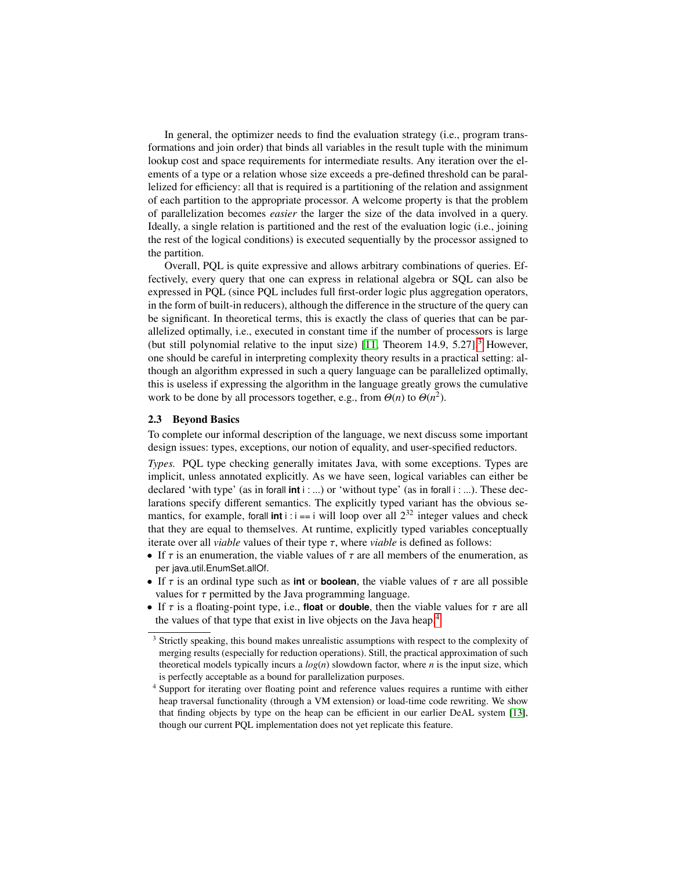In general, the optimizer needs to find the evaluation strategy (i.e., program transformations and join order) that binds all variables in the result tuple with the minimum lookup cost and space requirements for intermediate results. Any iteration over the elements of a type or a relation whose size exceeds a pre-defined threshold can be parallelized for efficiency: all that is required is a partitioning of the relation and assignment of each partition to the appropriate processor. A welcome property is that the problem of parallelization becomes *easier* the larger the size of the data involved in a query. Ideally, a single relation is partitioned and the rest of the evaluation logic (i.e., joining the rest of the logical conditions) is executed sequentially by the processor assigned to the partition.

Overall, PQL is quite expressive and allows arbitrary combinations of queries. Effectively, every query that one can express in relational algebra or SQL can also be expressed in PQL (since PQL includes full first-order logic plus aggregation operators, in the form of built-in reducers), although the difference in the structure of the query can be significant. In theoretical terms, this is exactly the class of queries that can be parallelized optimally, i.e., executed in constant time if the number of processors is large (but still polynomial relative to the input size)  $[11,$  Theorem 14.9, 5.27].<sup>[3](#page-8-1)</sup> However, one should be careful in interpreting complexity theory results in a practical setting: although an algorithm expressed in such a query language can be parallelized optimally, this is useless if expressing the algorithm in the language greatly grows the cumulative work to be done by all processors together, e.g., from  $\Theta(n)$  to  $\Theta(n^2)$ .

#### <span id="page-8-0"></span>2.3 Beyond Basics

To complete our informal description of the language, we next discuss some important design issues: types, exceptions, our notion of equality, and user-specified reductors.

*Types.* PQL type checking generally imitates Java, with some exceptions. Types are implicit, unless annotated explicitly. As we have seen, logical variables can either be declared 'with type' (as in forall **int** i : ...) or 'without type' (as in forall i : ...). These declarations specify different semantics. The explicitly typed variant has the obvious semantics, for example, forall **int** i :  $i == i$  will loop over all  $2^{32}$  integer values and check that they are equal to themselves. At runtime, explicitly typed variables conceptually iterate over all *viable* values of their type τ, where *viable* is defined as follows:

- If  $\tau$  is an enumeration, the viable values of  $\tau$  are all members of the enumeration, as per java.util.EnumSet.allOf.
- If  $\tau$  is an ordinal type such as **int** or **boolean**, the viable values of  $\tau$  are all possible values for  $\tau$  permitted by the Java programming language.
- If  $\tau$  is a floating-point type, i.e., **float** or **double**, then the viable values for  $\tau$  are all the values of that type that exist in live objects on the Java heap.[4](#page-8-2)

<span id="page-8-1"></span><sup>&</sup>lt;sup>3</sup> Strictly speaking, this bound makes unrealistic assumptions with respect to the complexity of merging results (especially for reduction operations). Still, the practical approximation of such theoretical models typically incurs a  $log(n)$  slowdown factor, where *n* is the input size, which is perfectly acceptable as a bound for parallelization purposes.

<span id="page-8-2"></span><sup>&</sup>lt;sup>4</sup> Support for iterating over floating point and reference values requires a runtime with either heap traversal functionality (through a VM extension) or load-time code rewriting. We show that finding objects by type on the heap can be efficient in our earlier DeAL system [\[13\]](#page-24-5), though our current PQL implementation does not yet replicate this feature.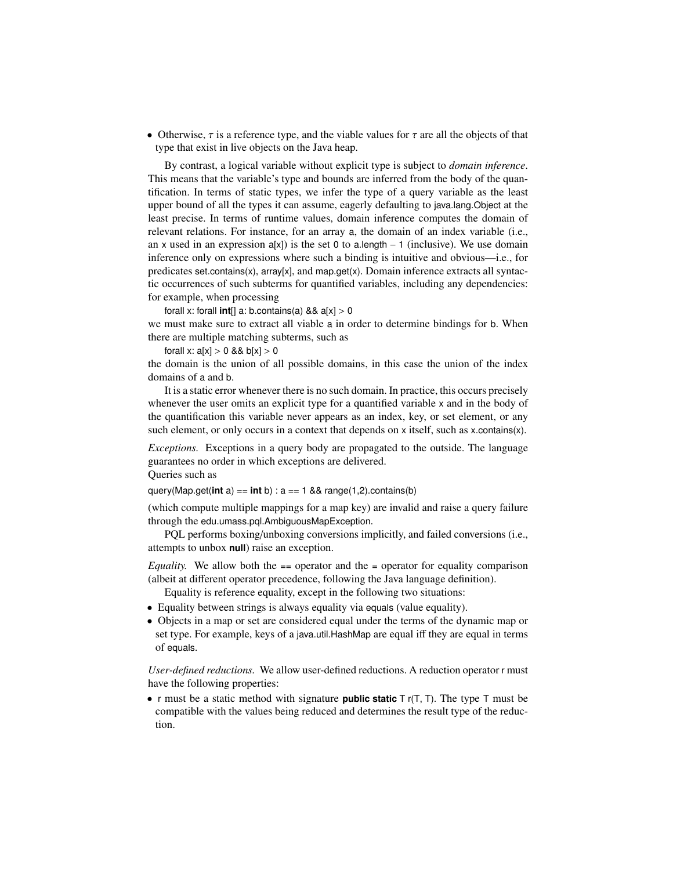• Otherwise,  $\tau$  is a reference type, and the viable values for  $\tau$  are all the objects of that type that exist in live objects on the Java heap.

By contrast, a logical variable without explicit type is subject to *domain inference*. This means that the variable's type and bounds are inferred from the body of the quantification. In terms of static types, we infer the type of a query variable as the least upper bound of all the types it can assume, eagerly defaulting to java.lang.Object at the least precise. In terms of runtime values, domain inference computes the domain of relevant relations. For instance, for an array a, the domain of an index variable (i.e., an x used in an expression  $a[x]$ ) is the set 0 to a.length  $-1$  (inclusive). We use domain inference only on expressions where such a binding is intuitive and obvious—i.e., for predicates set.contains(x), array[x], and map.get(x). Domain inference extracts all syntactic occurrences of such subterms for quantified variables, including any dependencies: for example, when processing

forall x: forall **int**[] a: b.contains(a) && a[x] > <sup>0</sup>

we must make sure to extract all viable a in order to determine bindings for b. When there are multiple matching subterms, such as

forall x:  $a[x] > 0$  & &  $b[x] > 0$ 

the domain is the union of all possible domains, in this case the union of the index domains of a and b.

It is a static error whenever there is no such domain. In practice, this occurs precisely whenever the user omits an explicit type for a quantified variable x and in the body of the quantification this variable never appears as an index, key, or set element, or any such element, or only occurs in a context that depends on x itself, such as x.contains(x).

*Exceptions.* Exceptions in a query body are propagated to the outside. The language guarantees no order in which exceptions are delivered. Queries such as

query(Map.get(**int** a) == **int** b) : a == 1 && range(1,2).contains(b)

(which compute multiple mappings for a map key) are invalid and raise a query failure through the edu.umass.pql.AmbiguousMapException.

PQL performs boxing/unboxing conversions implicitly, and failed conversions (i.e., attempts to unbox **null**) raise an exception.

*Equality.* We allow both the  $=$  operator and the  $=$  operator for equality comparison (albeit at different operator precedence, following the Java language definition).

Equality is reference equality, except in the following two situations:

- Equality between strings is always equality via equals (value equality).
- Objects in a map or set are considered equal under the terms of the dynamic map or set type. For example, keys of a java.util.HashMap are equal iff they are equal in terms of equals.

*User-defined reductions.* We allow user-defined reductions. A reduction operator r must have the following properties:

• r must be a static method with signature **public static** T r(T, T). The type T must be compatible with the values being reduced and determines the result type of the reduction.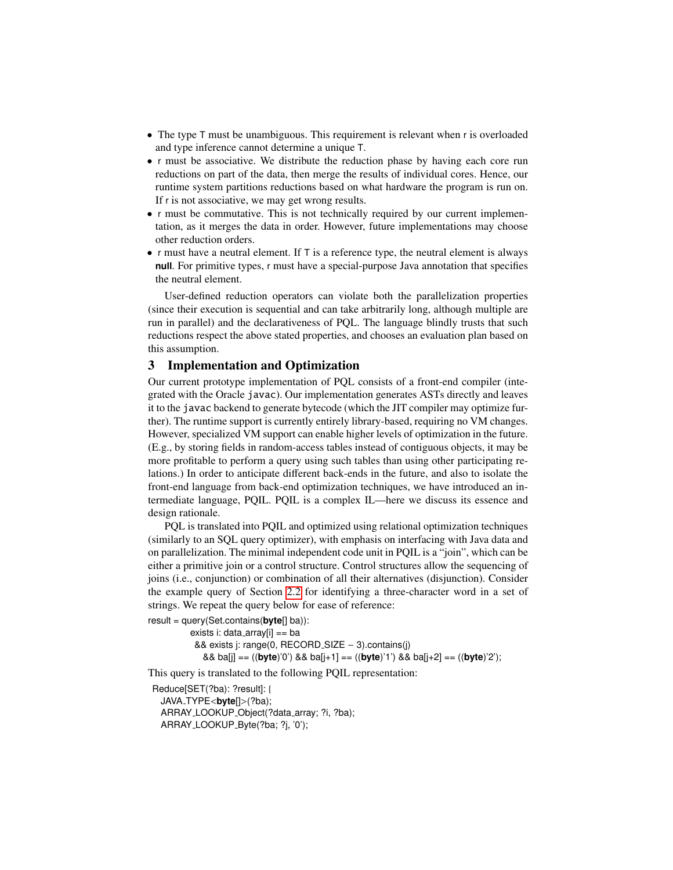- The type T must be unambiguous. This requirement is relevant when r is overloaded and type inference cannot determine a unique T.
- r must be associative. We distribute the reduction phase by having each core run reductions on part of the data, then merge the results of individual cores. Hence, our runtime system partitions reductions based on what hardware the program is run on. If r is not associative, we may get wrong results.
- r must be commutative. This is not technically required by our current implementation, as it merges the data in order. However, future implementations may choose other reduction orders.
- r must have a neutral element. If T is a reference type, the neutral element is always **null**. For primitive types, r must have a special-purpose Java annotation that specifies the neutral element.

User-defined reduction operators can violate both the parallelization properties (since their execution is sequential and can take arbitrarily long, although multiple are run in parallel) and the declarativeness of PQL. The language blindly trusts that such reductions respect the above stated properties, and chooses an evaluation plan based on this assumption.

# <span id="page-10-0"></span>3 Implementation and Optimization

Our current prototype implementation of PQL consists of a front-end compiler (integrated with the Oracle javac). Our implementation generates ASTs directly and leaves it to the javac backend to generate bytecode (which the JIT compiler may optimize further). The runtime support is currently entirely library-based, requiring no VM changes. However, specialized VM support can enable higher levels of optimization in the future. (E.g., by storing fields in random-access tables instead of contiguous objects, it may be more profitable to perform a query using such tables than using other participating relations.) In order to anticipate different back-ends in the future, and also to isolate the front-end language from back-end optimization techniques, we have introduced an intermediate language, PQIL. PQIL is a complex IL—here we discuss its essence and design rationale.

PQL is translated into PQIL and optimized using relational optimization techniques (similarly to an SQL query optimizer), with emphasis on interfacing with Java data and on parallelization. The minimal independent code unit in PQIL is a "join", which can be either a primitive join or a control structure. Control structures allow the sequencing of joins (i.e., conjunction) or combination of all their alternatives (disjunction). Consider the example query of Section [2.2](#page-6-0) for identifying a three-character word in a set of strings. We repeat the query below for ease of reference:

result = query(Set.contains(**byte**[] ba)):

exists i: data array[i] == ba && exists j: range(0, RECORD SIZE − 3).contains(j) && ba[j] == ((**byte**)'0') && ba[j+1] == ((**byte**)'1') && ba[j+2] == ((**byte**)'2');

This query is translated to the following PQIL representation:

Reduce[SET(?ba): ?result]: { JAVA TYPE<**byte**[]>(?ba); ARRAY\_LOOKUP\_Object(?data\_array; ?i, ?ba); ARRAY LOOKUP Byte(?ba; ?j, '0');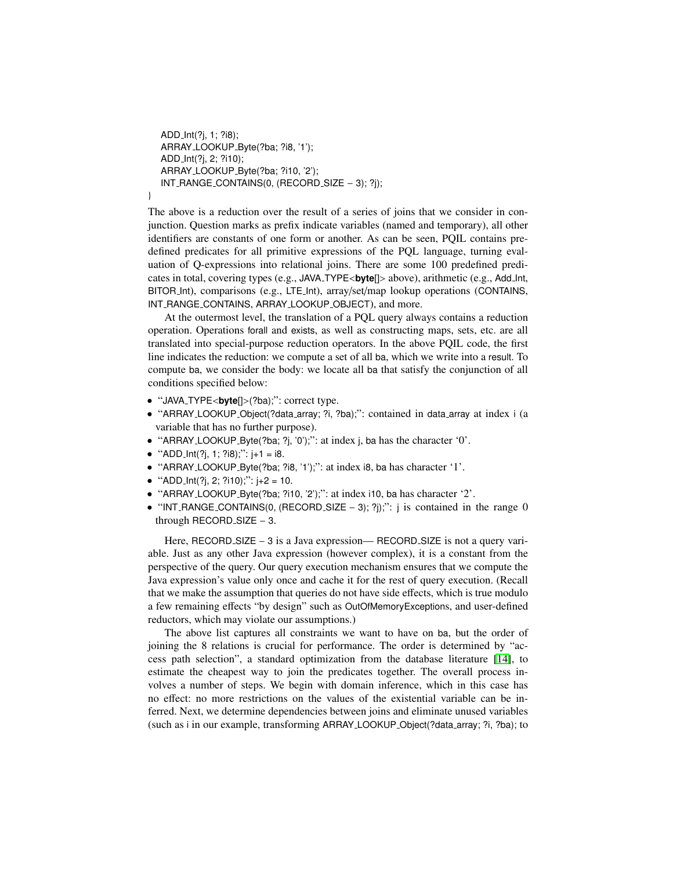```
ADD Int(?j, 1; ?i8);
ARRAY_LOOKUP_Byte(?ba; ?i8, '1');
ADD Int(?j, 2; ?i10);
ARRAY LOOKUP Byte(?ba; ?i10, '2');
INT_RANGE_CONTAINS(0, (RECORD_SIZE – 3); ?j);
```
The above is a reduction over the result of a series of joins that we consider in conjunction. Question marks as prefix indicate variables (named and temporary), all other identifiers are constants of one form or another. As can be seen, PQIL contains predefined predicates for all primitive expressions of the PQL language, turning evaluation of Q-expressions into relational joins. There are some 100 predefined predicates in total, covering types (e.g., JAVA TYPE<**byte**[]<sup>&</sup>gt; above), arithmetic (e.g., Add Int, BITOR\_Int), comparisons (e.g., LTE\_Int), array/set/map lookup operations (CONTAINS, INT\_RANGE\_CONTAINS, ARRAY\_LOOKUP\_OBJECT), and more.

At the outermost level, the translation of a PQL query always contains a reduction operation. Operations forall and exists, as well as constructing maps, sets, etc. are all translated into special-purpose reduction operators. In the above PQIL code, the first line indicates the reduction: we compute a set of all ba, which we write into a result. To compute ba, we consider the body: we locate all ba that satisfy the conjunction of all conditions specified below:

- "JAVA TYPE<**byte**[]>(?ba);": correct type.
- "ARRAY\_LOOKUP\_Object(?data\_array; ?i, ?ba);": contained in data\_array at index i (a variable that has no further purpose).
- "ARRAY\_LOOKUP\_Byte(?ba; ?j, '0');": at index j, ba has the character '0'.
- "ADD\_Int(?j, 1; ?i8);": j+1 = i8.

}

- "ARRAY\_LOOKUP\_Byte $(?ba; ?i8, '1');$ ": at index  $i8$ , ba has character '1'.
- "ADD\_Int(?j, 2; ?i10);": j+2 = 10.
- "ARRAY LOOKUP Byte(?ba; ?i10, '2');": at index i10, ba has character '2'.
- "INT\_RANGE\_CONTAINS(0, (RECORD\_SIZE 3); ?j);": j is contained in the range 0 through RECORD  $-SIZE - 3$ .

Here, RECORD SIZE − 3 is a Java expression— RECORD SIZE is not a query variable. Just as any other Java expression (however complex), it is a constant from the perspective of the query. Our query execution mechanism ensures that we compute the Java expression's value only once and cache it for the rest of query execution. (Recall that we make the assumption that queries do not have side effects, which is true modulo a few remaining effects "by design" such as OutOfMemoryExceptions, and user-defined reductors, which may violate our assumptions.)

The above list captures all constraints we want to have on ba, but the order of joining the 8 relations is crucial for performance. The order is determined by "access path selection", a standard optimization from the database literature [\[14\]](#page-24-6), to estimate the cheapest way to join the predicates together. The overall process involves a number of steps. We begin with domain inference, which in this case has no effect: no more restrictions on the values of the existential variable can be inferred. Next, we determine dependencies between joins and eliminate unused variables (such as i in our example, transforming ARRAY LOOKUP Object(?data array; ?i, ?ba); to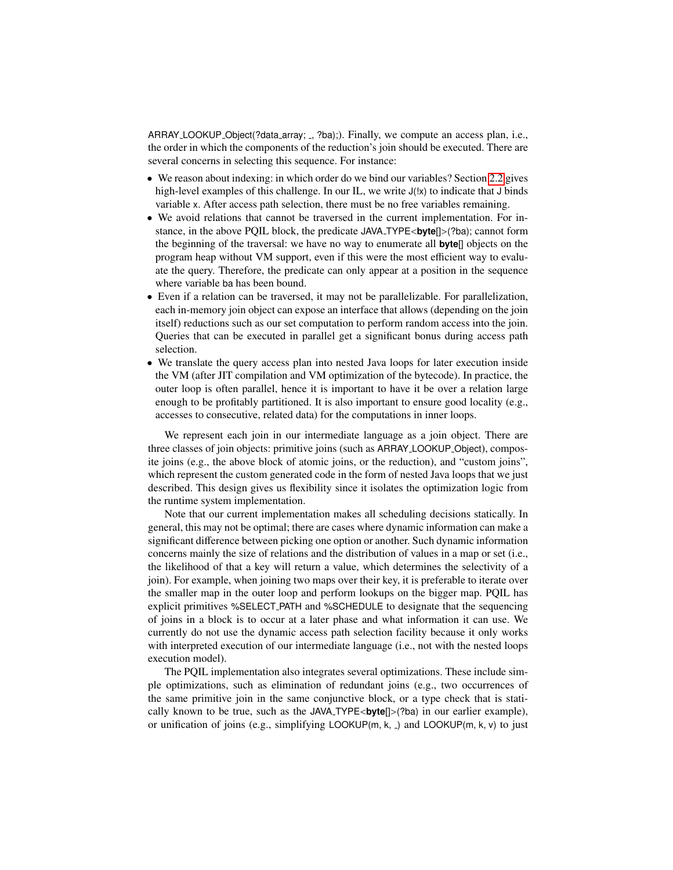ARRAY LOOKUP Object(?data\_array; \_, ?ba);). Finally, we compute an access plan, i.e., the order in which the components of the reduction's join should be executed. There are several concerns in selecting this sequence. For instance:

- We reason about indexing: in which order do we bind our variables? Section [2.2](#page-6-0) gives high-level examples of this challenge. In our IL, we write  $J(x)$  to indicate that J binds variable x. After access path selection, there must be no free variables remaining.
- We avoid relations that cannot be traversed in the current implementation. For instance, in the above PQIL block, the predicate JAVA TYPE<**byte**[]>(?ba); cannot form the beginning of the traversal: we have no way to enumerate all **byte**[] objects on the program heap without VM support, even if this were the most efficient way to evaluate the query. Therefore, the predicate can only appear at a position in the sequence where variable ba has been bound.
- Even if a relation can be traversed, it may not be parallelizable. For parallelization, each in-memory join object can expose an interface that allows (depending on the join itself) reductions such as our set computation to perform random access into the join. Queries that can be executed in parallel get a significant bonus during access path selection.
- We translate the query access plan into nested Java loops for later execution inside the VM (after JIT compilation and VM optimization of the bytecode). In practice, the outer loop is often parallel, hence it is important to have it be over a relation large enough to be profitably partitioned. It is also important to ensure good locality (e.g., accesses to consecutive, related data) for the computations in inner loops.

We represent each join in our intermediate language as a join object. There are three classes of join objects: primitive joins (such as ARRAY LOOKUP Object), composite joins (e.g., the above block of atomic joins, or the reduction), and "custom joins", which represent the custom generated code in the form of nested Java loops that we just described. This design gives us flexibility since it isolates the optimization logic from the runtime system implementation.

Note that our current implementation makes all scheduling decisions statically. In general, this may not be optimal; there are cases where dynamic information can make a significant difference between picking one option or another. Such dynamic information concerns mainly the size of relations and the distribution of values in a map or set (i.e., the likelihood of that a key will return a value, which determines the selectivity of a join). For example, when joining two maps over their key, it is preferable to iterate over the smaller map in the outer loop and perform lookups on the bigger map. PQIL has explicit primitives %SELECT PATH and %SCHEDULE to designate that the sequencing of joins in a block is to occur at a later phase and what information it can use. We currently do not use the dynamic access path selection facility because it only works with interpreted execution of our intermediate language (i.e., not with the nested loops execution model).

The PQIL implementation also integrates several optimizations. These include simple optimizations, such as elimination of redundant joins (e.g., two occurrences of the same primitive join in the same conjunctive block, or a type check that is statically known to be true, such as the JAVA TYPE<**byte**[]>(?ba) in our earlier example), or unification of joins (e.g., simplifying LOOKUP(m, k, ) and LOOKUP(m, k, v) to just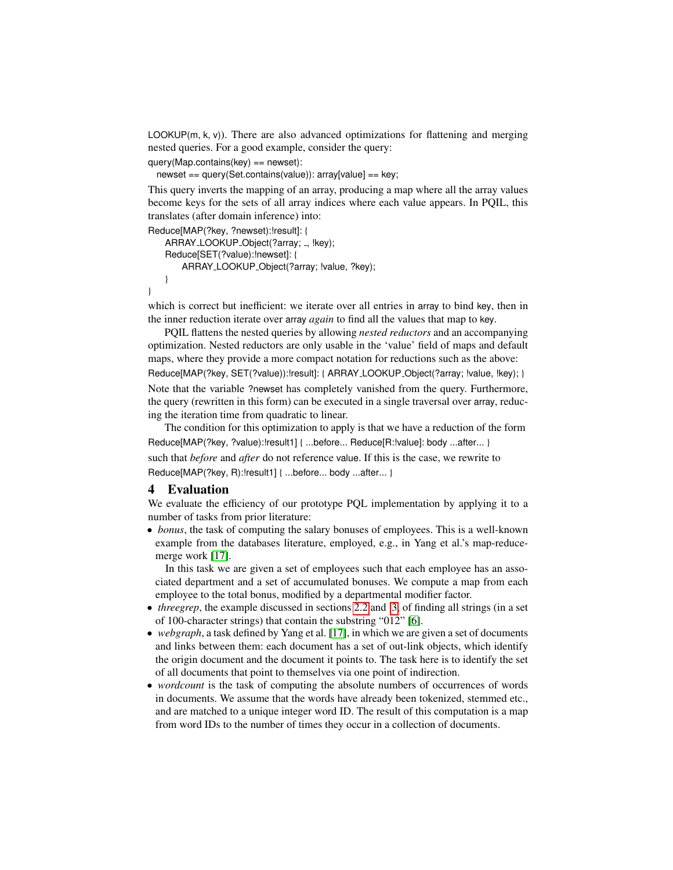LOOKUP $(m, k, v)$ ). There are also advanced optimizations for flattening and merging nested queries. For a good example, consider the query:

query(Map.contains(key) == newset):

newset == query(Set.contains(value)): array[value] == key;

This query inverts the mapping of an array, producing a map where all the array values become keys for the sets of all array indices where each value appears. In PQIL, this translates (after domain inference) into:

```
Reduce[MAP(?key, ?newset): !result]: {
   ARRAY_LOOKUP_Object(?array; _, !key);
   Reduce[SET(?value):!newset]: {
       ARRAY LOOKUP Object(?array; !value, ?key);
   }
}
```
which is correct but inefficient: we iterate over all entries in array to bind key, then in the inner reduction iterate over array *again* to find all the values that map to key.

PQIL flattens the nested queries by allowing *nested reductors* and an accompanying optimization. Nested reductors are only usable in the 'value' field of maps and default maps, where they provide a more compact notation for reductions such as the above: Reduce[MAP(?key, SET(?value)):!result]: { ARRAY\_LOOKUP\_Object(?array; !value, !key); } Note that the variable ?newset has completely vanished from the query. Furthermore, the query (rewritten in this form) can be executed in a single traversal over array, reducing the iteration time from quadratic to linear.

The condition for this optimization to apply is that we have a reduction of the form Reduce[MAP(?key, ?value):lresult1] { ...before... Reduce[R:lvalue]: body ...after... } such that *before* and *after* do not reference value. If this is the case, we rewrite to Reduce[MAP(?key, R):lresult1] { ...before... body ...after... }

# 4 Evaluation

We evaluate the efficiency of our prototype PQL implementation by applying it to a number of tasks from prior literature:

• *bonus*, the task of computing the salary bonuses of employees. This is a well-known example from the databases literature, employed, e.g., in Yang et al.'s map-reducemerge work [\[17\]](#page-24-7).

In this task we are given a set of employees such that each employee has an associated department and a set of accumulated bonuses. We compute a map from each employee to the total bonus, modified by a departmental modifier factor.

- *threegrep*, the example discussed in sections [2.2](#page-6-0) and [3,](#page-10-0) of finding all strings (in a set of 100-character strings) that contain the substring "012" [\[6\]](#page-24-3).
- *webgraph*, a task defined by Yang et al. [\[17\]](#page-24-7), in which we are given a set of documents and links between them: each document has a set of out-link objects, which identify the origin document and the document it points to. The task here is to identify the set of all documents that point to themselves via one point of indirection.
- *wordcount* is the task of computing the absolute numbers of occurrences of words in documents. We assume that the words have already been tokenized, stemmed etc., and are matched to a unique integer word ID. The result of this computation is a map from word IDs to the number of times they occur in a collection of documents.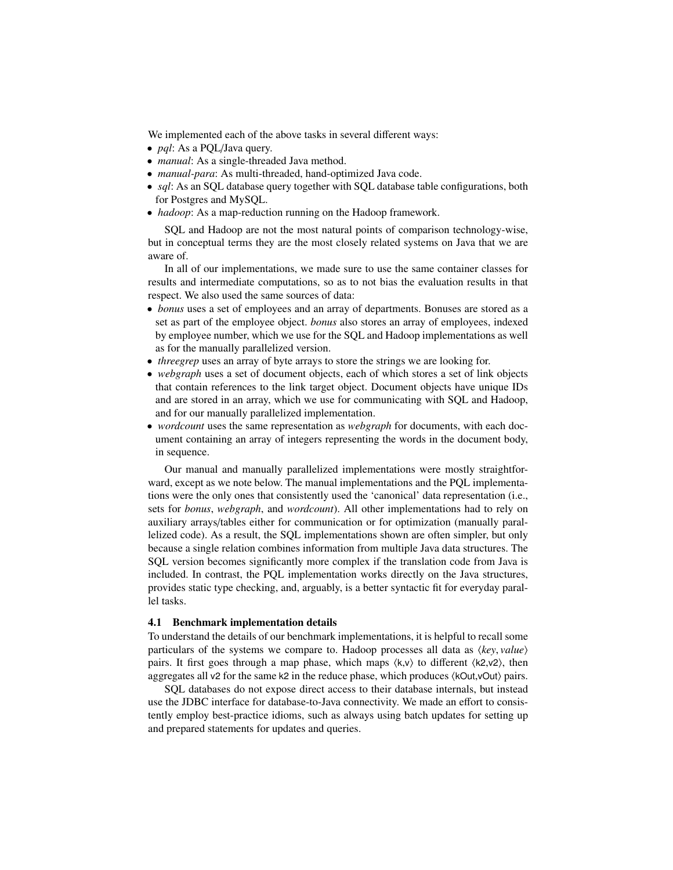We implemented each of the above tasks in several different ways:

- *pql*: As a PQL/Java query.
- *manual*: As a single-threaded Java method.
- *manual-para*: As multi-threaded, hand-optimized Java code.
- *sql*: As an SQL database query together with SQL database table configurations, both for Postgres and MySQL.
- *hadoop*: As a map-reduction running on the Hadoop framework.

SQL and Hadoop are not the most natural points of comparison technology-wise, but in conceptual terms they are the most closely related systems on Java that we are aware of.

In all of our implementations, we made sure to use the same container classes for results and intermediate computations, so as to not bias the evaluation results in that respect. We also used the same sources of data:

- *bonus* uses a set of employees and an array of departments. Bonuses are stored as a set as part of the employee object. *bonus* also stores an array of employees, indexed by employee number, which we use for the SQL and Hadoop implementations as well as for the manually parallelized version.
- *threegrep* uses an array of byte arrays to store the strings we are looking for.
- *webgraph* uses a set of document objects, each of which stores a set of link objects that contain references to the link target object. Document objects have unique IDs and are stored in an array, which we use for communicating with SQL and Hadoop, and for our manually parallelized implementation.
- *wordcount* uses the same representation as *webgraph* for documents, with each document containing an array of integers representing the words in the document body, in sequence.

Our manual and manually parallelized implementations were mostly straightforward, except as we note below. The manual implementations and the PQL implementations were the only ones that consistently used the 'canonical' data representation (i.e., sets for *bonus*, *webgraph*, and *wordcount*). All other implementations had to rely on auxiliary arrays/tables either for communication or for optimization (manually parallelized code). As a result, the SQL implementations shown are often simpler, but only because a single relation combines information from multiple Java data structures. The SQL version becomes significantly more complex if the translation code from Java is included. In contrast, the PQL implementation works directly on the Java structures, provides static type checking, and, arguably, is a better syntactic fit for everyday parallel tasks.

### 4.1 Benchmark implementation details

To understand the details of our benchmark implementations, it is helpful to recall some particulars of the systems we compare to. Hadoop processes all data as  $\langle key, value \rangle$ pairs. It first goes through a map phase, which maps  $\langle k,v \rangle$  to different  $\langle k2,v2 \rangle$ , then aggregates all v2 for the same k2 in the reduce phase, which produces (kOut,vOut) pairs.

SQL databases do not expose direct access to their database internals, but instead use the JDBC interface for database-to-Java connectivity. We made an effort to consistently employ best-practice idioms, such as always using batch updates for setting up and prepared statements for updates and queries.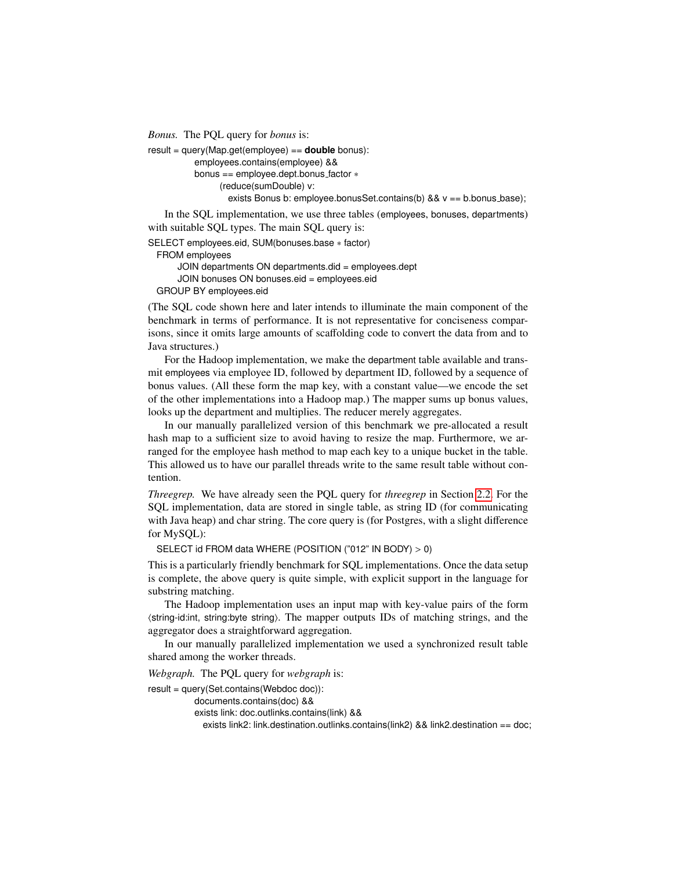*Bonus.* The PQL query for *bonus* is:

```
result = query(Map.get(employee) == double bonus):
          employees.contains(employee) &&
          bonus == employee.dept.bonus factor ∗
                (reduce(sumDouble) v:
```
exists Bonus b: employee.bonusSet.contains(b) && v == b.bonus\_base);

In the SQL implementation, we use three tables (employees, bonuses, departments) with suitable SQL types. The main SQL query is:

SELECT employees.eid, SUM(bonuses.base ∗ factor) FROM employees JOIN departments ON departments.did = employees.dept JOIN bonuses ON bonuses.eid = employees.eid GROUP BY employees.eid

(The SQL code shown here and later intends to illuminate the main component of the benchmark in terms of performance. It is not representative for conciseness comparisons, since it omits large amounts of scaffolding code to convert the data from and to Java structures.)

For the Hadoop implementation, we make the department table available and transmit employees via employee ID, followed by department ID, followed by a sequence of bonus values. (All these form the map key, with a constant value—we encode the set of the other implementations into a Hadoop map.) The mapper sums up bonus values, looks up the department and multiplies. The reducer merely aggregates.

In our manually parallelized version of this benchmark we pre-allocated a result hash map to a sufficient size to avoid having to resize the map. Furthermore, we arranged for the employee hash method to map each key to a unique bucket in the table. This allowed us to have our parallel threads write to the same result table without contention.

*Threegrep.* We have already seen the PQL query for *threegrep* in Section [2.2.](#page-6-0) For the SQL implementation, data are stored in single table, as string ID (for communicating with Java heap) and char string. The core query is (for Postgres, with a slight difference for MySQL):

SELECT id FROM data WHERE (POSITION ("012" IN BODY) > 0)

This is a particularly friendly benchmark for SQL implementations. Once the data setup is complete, the above query is quite simple, with explicit support in the language for substring matching.

The Hadoop implementation uses an input map with key-value pairs of the form  $\frac{1}{\epsilon}$  (string-id:int, string:byte string). The mapper outputs IDs of matching strings, and the aggregator does a straightforward aggregation.

In our manually parallelized implementation we used a synchronized result table shared among the worker threads.

*Webgraph.* The PQL query for *webgraph* is:

result = query(Set.contains(Webdoc doc)):

documents.contains(doc) &&

exists link: doc.outlinks.contains(link) &&

exists link2: link.destination.outlinks.contains(link2) && link2.destination == doc;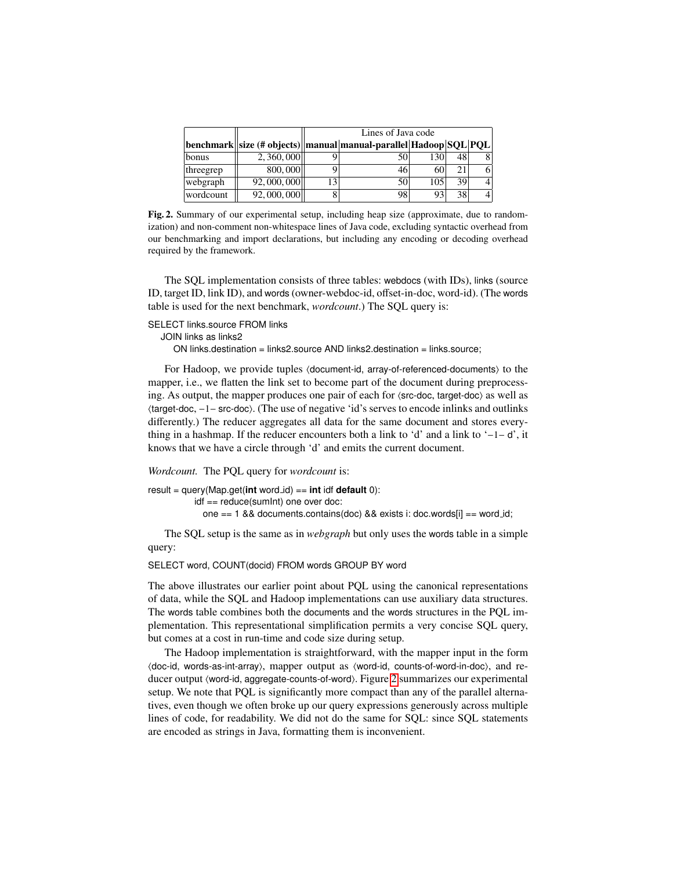|              |            | Lines of Java code |                                                                    |     |    |  |  |  |  |
|--------------|------------|--------------------|--------------------------------------------------------------------|-----|----|--|--|--|--|
|              |            |                    | benchmark  size (# objects)  manual manual-parallel Hadoop SQL PQL |     |    |  |  |  |  |
| <b>bonus</b> | 2,360,000  |                    | 50                                                                 | 130 | 48 |  |  |  |  |
| threegrep    | 800,000    |                    | 46                                                                 | 60  |    |  |  |  |  |
| webgraph     | 92,000,000 | 13                 | 50                                                                 | 105 | 39 |  |  |  |  |
| wordcount    | 92,000,000 |                    | 98                                                                 | 93  | 38 |  |  |  |  |
|              |            |                    |                                                                    |     |    |  |  |  |  |

<span id="page-16-0"></span>Fig. 2. Summary of our experimental setup, including heap size (approximate, due to randomization) and non-comment non-whitespace lines of Java code, excluding syntactic overhead from our benchmarking and import declarations, but including any encoding or decoding overhead required by the framework.

The SQL implementation consists of three tables: webdocs (with IDs), links (source ID, target ID, link ID), and words (owner-webdoc-id, offset-in-doc, word-id). (The words table is used for the next benchmark, *wordcount*.) The SQL query is:

SELECT links.source FROM links

JOIN links as links2

ON links.destination = links2.source AND links2.destination = links.source;

For Hadoop, we provide tuples (document-id, array-of-referenced-documents) to the mapper, i.e., we flatten the link set to become part of the document during preprocessing. As output, the mapper produces one pair of each for  $\langle$ src-doc, target-doc $\rangle$  as well as htarget-doc, −1− src-doci. (The use of negative 'id's serves to encode inlinks and outlinks differently.) The reducer aggregates all data for the same document and stores everything in a hashmap. If the reducer encounters both a link to 'd' and a link to '−1− d', it knows that we have a circle through 'd' and emits the current document.

*Wordcount.* The PQL query for *wordcount* is:

result = query(Map.get(**int** word id) == **int** idf **default** 0):

idf == reduce(sumInt) one over doc:

one == 1 && documents.contains(doc) && exists i: doc.words[i] == word id;

The SQL setup is the same as in *webgraph* but only uses the words table in a simple query:

SELECT word, COUNT(docid) FROM words GROUP BY word

The above illustrates our earlier point about PQL using the canonical representations of data, while the SQL and Hadoop implementations can use auxiliary data structures. The words table combines both the documents and the words structures in the PQL implementation. This representational simplification permits a very concise SQL query, but comes at a cost in run-time and code size during setup.

The Hadoop implementation is straightforward, with the mapper input in the form (doc-id, words-as-int-array), mapper output as (word-id, counts-of-word-in-doc), and re-ducer output (word-id, aggregate-counts-of-word). Figure [2](#page-16-0) summarizes our experimental setup. We note that PQL is significantly more compact than any of the parallel alternatives, even though we often broke up our query expressions generously across multiple lines of code, for readability. We did not do the same for SQL: since SQL statements are encoded as strings in Java, formatting them is inconvenient.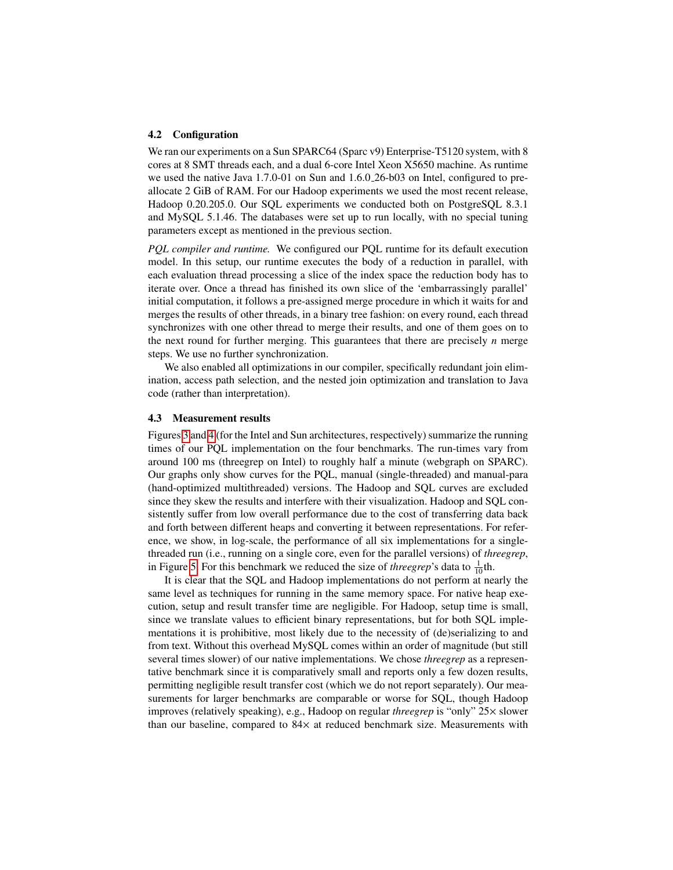#### 4.2 Configuration

We ran our experiments on a Sun SPARC64 (Sparc v9) Enterprise-T5120 system, with 8 cores at 8 SMT threads each, and a dual 6-core Intel Xeon X5650 machine. As runtime we used the native Java 1.7.0-01 on Sun and 1.6.0 26-b03 on Intel, configured to preallocate 2 GiB of RAM. For our Hadoop experiments we used the most recent release, Hadoop 0.20.205.0. Our SQL experiments we conducted both on PostgreSQL 8.3.1 and MySQL 5.1.46. The databases were set up to run locally, with no special tuning parameters except as mentioned in the previous section.

*PQL compiler and runtime.* We configured our PQL runtime for its default execution model. In this setup, our runtime executes the body of a reduction in parallel, with each evaluation thread processing a slice of the index space the reduction body has to iterate over. Once a thread has finished its own slice of the 'embarrassingly parallel' initial computation, it follows a pre-assigned merge procedure in which it waits for and merges the results of other threads, in a binary tree fashion: on every round, each thread synchronizes with one other thread to merge their results, and one of them goes on to the next round for further merging. This guarantees that there are precisely *n* merge steps. We use no further synchronization.

We also enabled all optimizations in our compiler, specifically redundant join elimination, access path selection, and the nested join optimization and translation to Java code (rather than interpretation).

#### 4.3 Measurement results

Figures [3](#page-18-0) and [4](#page-19-0) (for the Intel and Sun architectures, respectively) summarize the running times of our PQL implementation on the four benchmarks. The run-times vary from around 100 ms (threegrep on Intel) to roughly half a minute (webgraph on SPARC). Our graphs only show curves for the PQL, manual (single-threaded) and manual-para (hand-optimized multithreaded) versions. The Hadoop and SQL curves are excluded since they skew the results and interfere with their visualization. Hadoop and SQL consistently suffer from low overall performance due to the cost of transferring data back and forth between different heaps and converting it between representations. For reference, we show, in log-scale, the performance of all six implementations for a singlethreaded run (i.e., running on a single core, even for the parallel versions) of *threegrep*, in Figure [5.](#page-20-0) For this benchmark we reduced the size of *threegrep*'s data to  $\frac{1}{10}$ th.

It is clear that the SQL and Hadoop implementations do not perform at nearly the same level as techniques for running in the same memory space. For native heap execution, setup and result transfer time are negligible. For Hadoop, setup time is small, since we translate values to efficient binary representations, but for both SQL implementations it is prohibitive, most likely due to the necessity of (de)serializing to and from text. Without this overhead MySQL comes within an order of magnitude (but still several times slower) of our native implementations. We chose *threegrep* as a representative benchmark since it is comparatively small and reports only a few dozen results, permitting negligible result transfer cost (which we do not report separately). Our measurements for larger benchmarks are comparable or worse for SQL, though Hadoop improves (relatively speaking), e.g., Hadoop on regular *threegrep* is "only" 25× slower than our baseline, compared to  $84\times$  at reduced benchmark size. Measurements with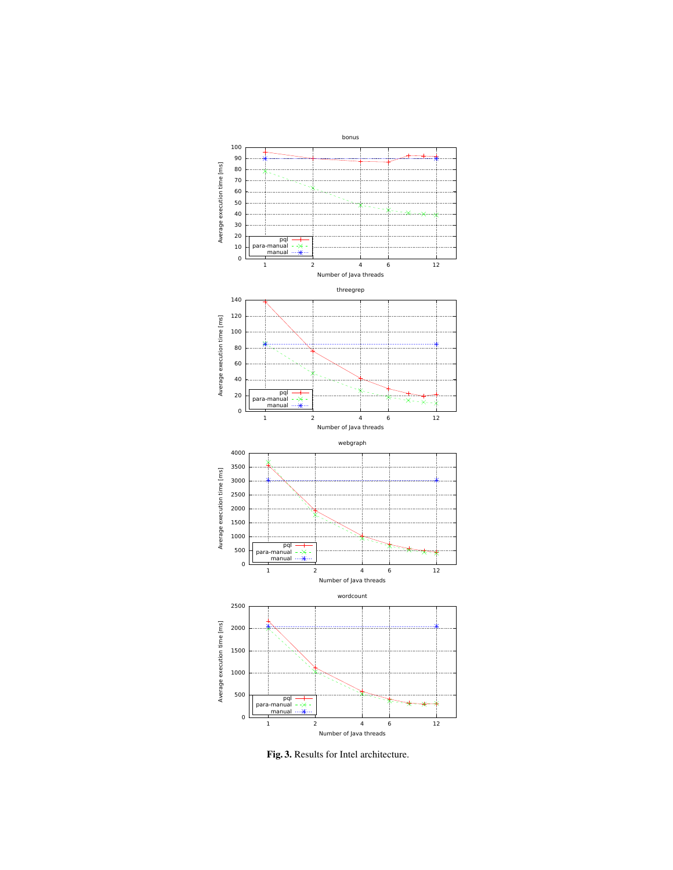

<span id="page-18-0"></span>Fig. 3. Results for Intel architecture.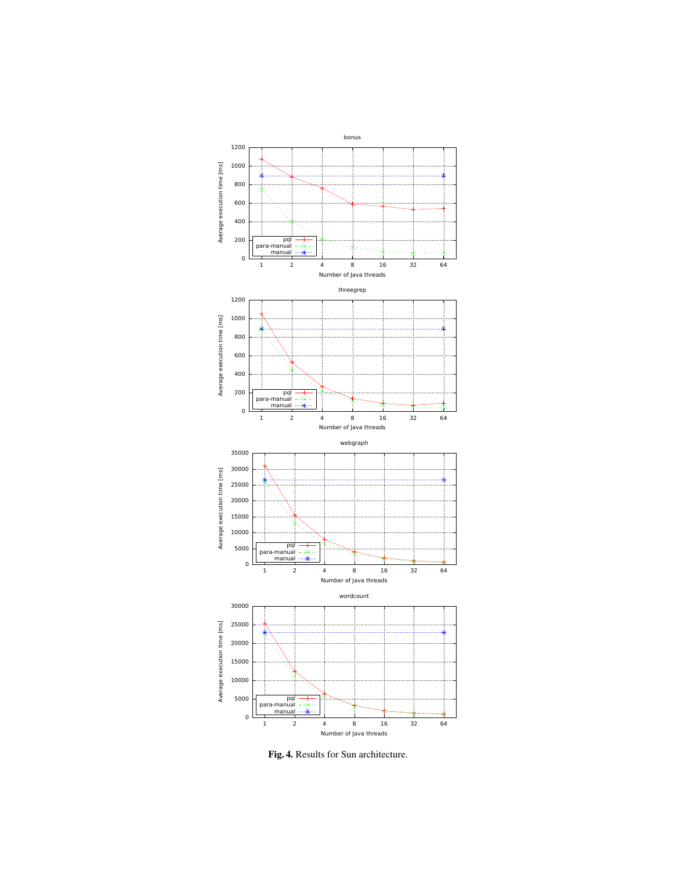

<span id="page-19-0"></span>Fig. 4. Results for Sun architecture.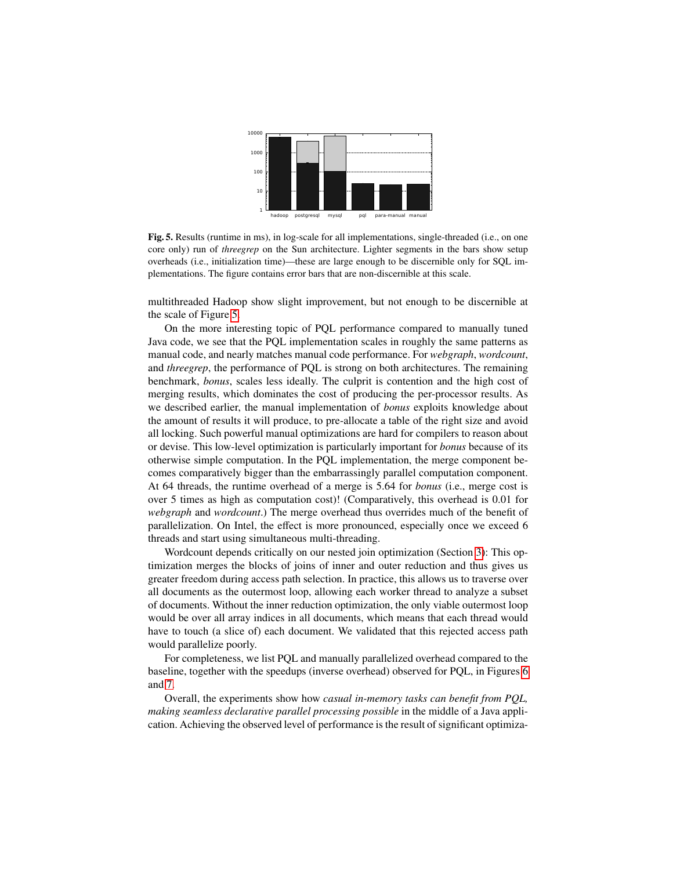

<span id="page-20-0"></span>Fig. 5. Results (runtime in ms), in log-scale for all implementations, single-threaded (i.e., on one core only) run of *threegrep* on the Sun architecture. Lighter segments in the bars show setup overheads (i.e., initialization time)—these are large enough to be discernible only for SQL implementations. The figure contains error bars that are non-discernible at this scale.

multithreaded Hadoop show slight improvement, but not enough to be discernible at the scale of Figure [5.](#page-20-0)

On the more interesting topic of PQL performance compared to manually tuned Java code, we see that the PQL implementation scales in roughly the same patterns as manual code, and nearly matches manual code performance. For *webgraph*, *wordcount*, and *threegrep*, the performance of PQL is strong on both architectures. The remaining benchmark, *bonus*, scales less ideally. The culprit is contention and the high cost of merging results, which dominates the cost of producing the per-processor results. As we described earlier, the manual implementation of *bonus* exploits knowledge about the amount of results it will produce, to pre-allocate a table of the right size and avoid all locking. Such powerful manual optimizations are hard for compilers to reason about or devise. This low-level optimization is particularly important for *bonus* because of its otherwise simple computation. In the PQL implementation, the merge component becomes comparatively bigger than the embarrassingly parallel computation component. At 64 threads, the runtime overhead of a merge is 5.64 for *bonus* (i.e., merge cost is over 5 times as high as computation cost)! (Comparatively, this overhead is 0.01 for *webgraph* and *wordcount*.) The merge overhead thus overrides much of the benefit of parallelization. On Intel, the effect is more pronounced, especially once we exceed 6 threads and start using simultaneous multi-threading.

Wordcount depends critically on our nested join optimization (Section [3\)](#page-10-0): This optimization merges the blocks of joins of inner and outer reduction and thus gives us greater freedom during access path selection. In practice, this allows us to traverse over all documents as the outermost loop, allowing each worker thread to analyze a subset of documents. Without the inner reduction optimization, the only viable outermost loop would be over all array indices in all documents, which means that each thread would have to touch (a slice of) each document. We validated that this rejected access path would parallelize poorly.

For completeness, we list PQL and manually parallelized overhead compared to the baseline, together with the speedups (inverse overhead) observed for PQL, in Figures [6](#page-21-0) and [7.](#page-21-1)

Overall, the experiments show how *casual in-memory tasks can benefit from PQL, making seamless declarative parallel processing possible* in the middle of a Java application. Achieving the observed level of performance is the result of significant optimiza-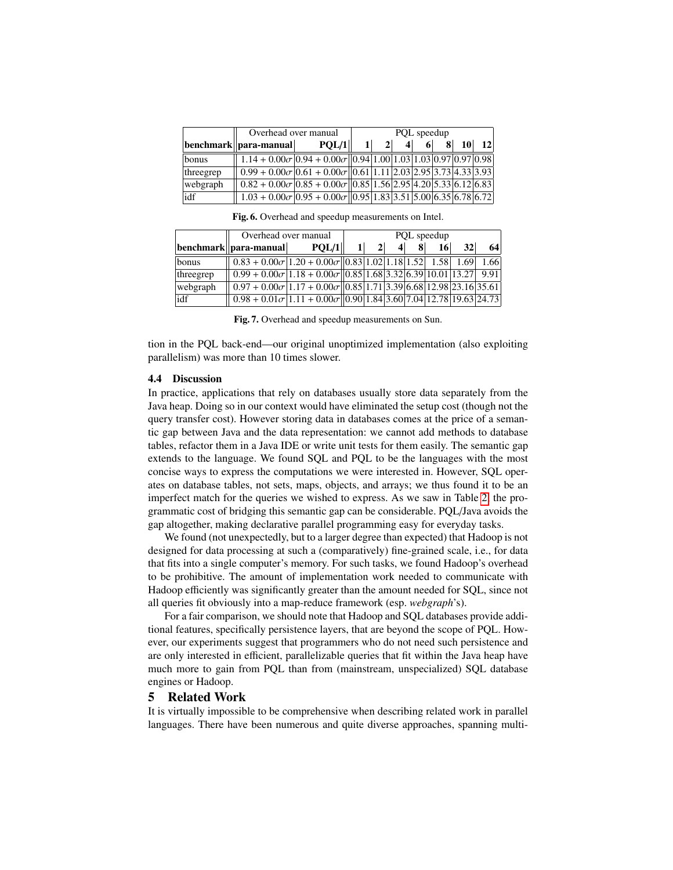| Overhead over manual |  |                               | PQL speedup |  |  |  |                 |                                                                                                                                                                                                                                                                                                                                                 |  |
|----------------------|--|-------------------------------|-------------|--|--|--|-----------------|-------------------------------------------------------------------------------------------------------------------------------------------------------------------------------------------------------------------------------------------------------------------------------------------------------------------------------------------------|--|
|                      |  |                               |             |  |  |  | 10 <sup>1</sup> | 12                                                                                                                                                                                                                                                                                                                                              |  |
|                      |  |                               |             |  |  |  |                 |                                                                                                                                                                                                                                                                                                                                                 |  |
|                      |  |                               |             |  |  |  |                 |                                                                                                                                                                                                                                                                                                                                                 |  |
|                      |  |                               |             |  |  |  |                 |                                                                                                                                                                                                                                                                                                                                                 |  |
|                      |  |                               |             |  |  |  |                 |                                                                                                                                                                                                                                                                                                                                                 |  |
|                      |  | $ b$ enchmark $ $ para-manual | POL/1       |  |  |  |                 | $1.14 + 0.00\sigma  0.94 + 0.00\sigma   0.94  1.00  1.03  1.03  0.97  0.97  0.98$<br>$0.99 + 0.00\sigma  0.61 + 0.00\sigma   0.61  1.11  2.03  2.95  3.73  4.33  3.93$<br>$0.82 + 0.00\sigma  0.85 + 0.00\sigma   0.85  1.56  2.95  4.20  5.33  6.12  6.83$<br>$1.03 + 0.00\sigma  0.95 + 0.00\sigma  0.95  1.83  3.51  5.00  6.35  6.78  6.72$ |  |

<span id="page-21-0"></span>Fig. 6. Overhead and speedup measurements on Intel.

|           | Overhead over manual                                                                                                                                  |       |  | PQL speedup  |  |  |    |                 |      |  |
|-----------|-------------------------------------------------------------------------------------------------------------------------------------------------------|-------|--|--------------|--|--|----|-----------------|------|--|
|           | benchmark  para-manual                                                                                                                                | POL/1 |  | $\mathbf{2}$ |  |  | 16 | 32 <sup>1</sup> | 64   |  |
| bonus     | $0.83 + 0.00\sigma  1.20 + 0.00\sigma   0.83   1.02   1.18   1.52   1.58   1.69 $                                                                     |       |  |              |  |  |    |                 | 1.66 |  |
| threegrep | $\left  \frac{0.99 + 0.00\sigma}{1.18 + 0.00\sigma} \right  0.85 \left  1.68 \left  3.32 \left  6.39 \right  10.01 \left  13.27 \right  \right. 9.91$ |       |  |              |  |  |    |                 |      |  |
| webgraph  | $0.97 + 0.00\sigma$ 1.17 + $0.00\sigma$ 0.85 1.71 3.39 6.68 12.98 23.16 35.61                                                                         |       |  |              |  |  |    |                 |      |  |
| idf       | $0.98 + 0.01\sigma  1.11 + 0.00\sigma   0.90  1.84  3.60  7.04  12.78  19.63  24.73$                                                                  |       |  |              |  |  |    |                 |      |  |

<span id="page-21-1"></span>Fig. 7. Overhead and speedup measurements on Sun.

tion in the PQL back-end—our original unoptimized implementation (also exploiting parallelism) was more than 10 times slower.

## 4.4 Discussion

In practice, applications that rely on databases usually store data separately from the Java heap. Doing so in our context would have eliminated the setup cost (though not the query transfer cost). However storing data in databases comes at the price of a semantic gap between Java and the data representation: we cannot add methods to database tables, refactor them in a Java IDE or write unit tests for them easily. The semantic gap extends to the language. We found SQL and PQL to be the languages with the most concise ways to express the computations we were interested in. However, SQL operates on database tables, not sets, maps, objects, and arrays; we thus found it to be an imperfect match for the queries we wished to express. As we saw in Table [2,](#page-16-0) the programmatic cost of bridging this semantic gap can be considerable. PQL/Java avoids the gap altogether, making declarative parallel programming easy for everyday tasks.

We found (not unexpectedly, but to a larger degree than expected) that Hadoop is not designed for data processing at such a (comparatively) fine-grained scale, i.e., for data that fits into a single computer's memory. For such tasks, we found Hadoop's overhead to be prohibitive. The amount of implementation work needed to communicate with Hadoop efficiently was significantly greater than the amount needed for SQL, since not all queries fit obviously into a map-reduce framework (esp. *webgraph*'s).

For a fair comparison, we should note that Hadoop and SQL databases provide additional features, specifically persistence layers, that are beyond the scope of PQL. However, our experiments suggest that programmers who do not need such persistence and are only interested in efficient, parallelizable queries that fit within the Java heap have much more to gain from PQL than from (mainstream, unspecialized) SQL database engines or Hadoop.

# 5 Related Work

It is virtually impossible to be comprehensive when describing related work in parallel languages. There have been numerous and quite diverse approaches, spanning multi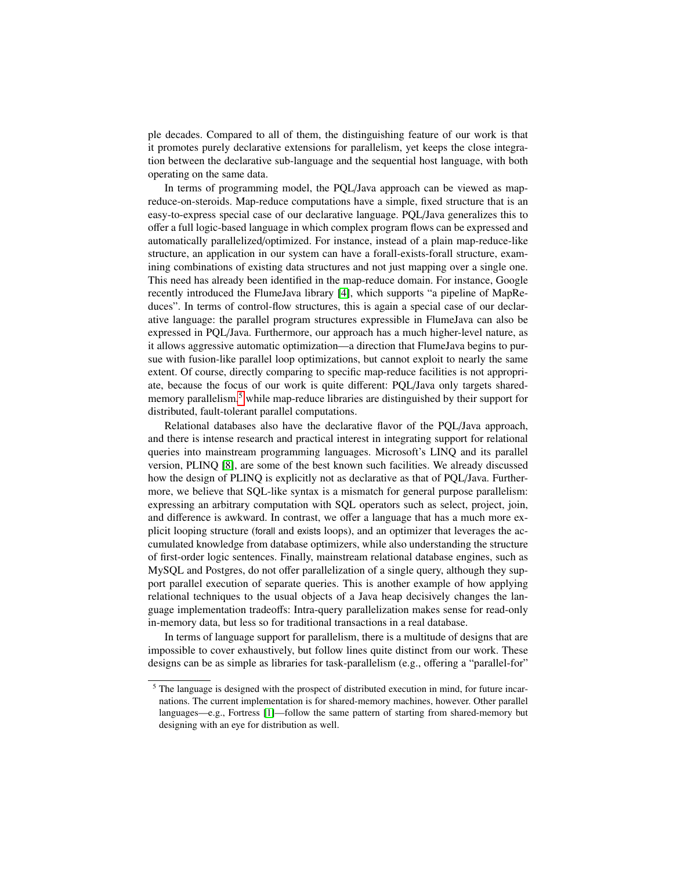ple decades. Compared to all of them, the distinguishing feature of our work is that it promotes purely declarative extensions for parallelism, yet keeps the close integration between the declarative sub-language and the sequential host language, with both operating on the same data.

In terms of programming model, the PQL/Java approach can be viewed as mapreduce-on-steroids. Map-reduce computations have a simple, fixed structure that is an easy-to-express special case of our declarative language. PQL/Java generalizes this to offer a full logic-based language in which complex program flows can be expressed and automatically parallelized/optimized. For instance, instead of a plain map-reduce-like structure, an application in our system can have a forall-exists-forall structure, examining combinations of existing data structures and not just mapping over a single one. This need has already been identified in the map-reduce domain. For instance, Google recently introduced the FlumeJava library [\[4\]](#page-24-8), which supports "a pipeline of MapReduces". In terms of control-flow structures, this is again a special case of our declarative language: the parallel program structures expressible in FlumeJava can also be expressed in PQL/Java. Furthermore, our approach has a much higher-level nature, as it allows aggressive automatic optimization—a direction that FlumeJava begins to pursue with fusion-like parallel loop optimizations, but cannot exploit to nearly the same extent. Of course, directly comparing to specific map-reduce facilities is not appropriate, because the focus of our work is quite different: PQL/Java only targets shared-memory parallelism,<sup>[5](#page-22-0)</sup> while map-reduce libraries are distinguished by their support for distributed, fault-tolerant parallel computations.

Relational databases also have the declarative flavor of the PQL/Java approach, and there is intense research and practical interest in integrating support for relational queries into mainstream programming languages. Microsoft's LINQ and its parallel version, PLINQ [\[8\]](#page-24-9), are some of the best known such facilities. We already discussed how the design of PLINQ is explicitly not as declarative as that of PQL/Java. Furthermore, we believe that SQL-like syntax is a mismatch for general purpose parallelism: expressing an arbitrary computation with SQL operators such as select, project, join, and difference is awkward. In contrast, we offer a language that has a much more explicit looping structure (forall and exists loops), and an optimizer that leverages the accumulated knowledge from database optimizers, while also understanding the structure of first-order logic sentences. Finally, mainstream relational database engines, such as MySQL and Postgres, do not offer parallelization of a single query, although they support parallel execution of separate queries. This is another example of how applying relational techniques to the usual objects of a Java heap decisively changes the language implementation tradeoffs: Intra-query parallelization makes sense for read-only in-memory data, but less so for traditional transactions in a real database.

In terms of language support for parallelism, there is a multitude of designs that are impossible to cover exhaustively, but follow lines quite distinct from our work. These designs can be as simple as libraries for task-parallelism (e.g., offering a "parallel-for"

<span id="page-22-0"></span><sup>&</sup>lt;sup>5</sup> The language is designed with the prospect of distributed execution in mind, for future incarnations. The current implementation is for shared-memory machines, however. Other parallel languages—e.g., Fortress [\[1\]](#page-24-10)—follow the same pattern of starting from shared-memory but designing with an eye for distribution as well.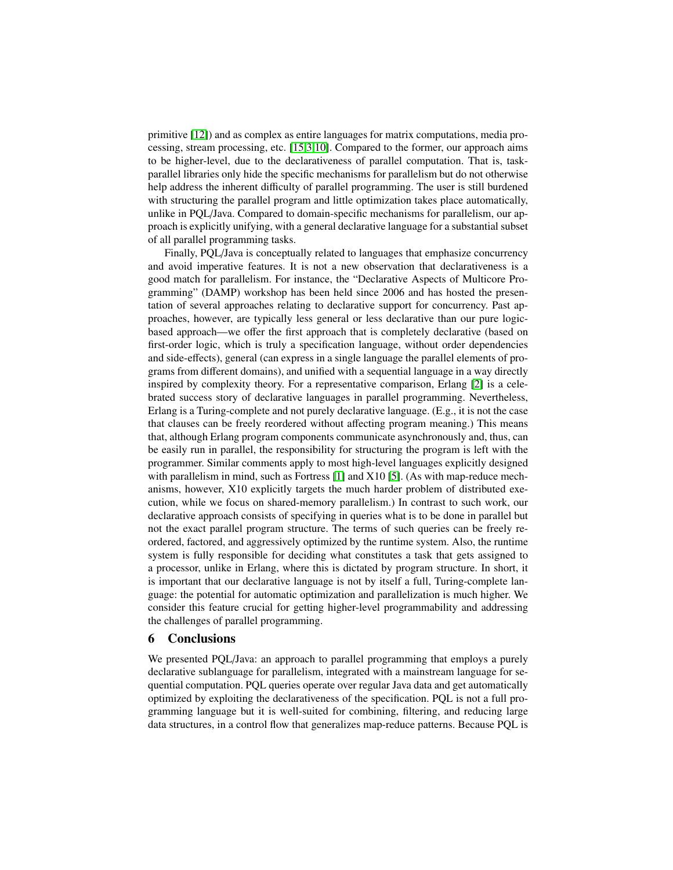primitive [\[12\]](#page-24-11)) and as complex as entire languages for matrix computations, media processing, stream processing, etc. [\[15,](#page-24-12)[3,](#page-24-13)[10\]](#page-24-14). Compared to the former, our approach aims to be higher-level, due to the declarativeness of parallel computation. That is, taskparallel libraries only hide the specific mechanisms for parallelism but do not otherwise help address the inherent difficulty of parallel programming. The user is still burdened with structuring the parallel program and little optimization takes place automatically, unlike in PQL/Java. Compared to domain-specific mechanisms for parallelism, our approach is explicitly unifying, with a general declarative language for a substantial subset of all parallel programming tasks.

Finally, PQL/Java is conceptually related to languages that emphasize concurrency and avoid imperative features. It is not a new observation that declarativeness is a good match for parallelism. For instance, the "Declarative Aspects of Multicore Programming" (DAMP) workshop has been held since 2006 and has hosted the presentation of several approaches relating to declarative support for concurrency. Past approaches, however, are typically less general or less declarative than our pure logicbased approach—we offer the first approach that is completely declarative (based on first-order logic, which is truly a specification language, without order dependencies and side-effects), general (can express in a single language the parallel elements of programs from different domains), and unified with a sequential language in a way directly inspired by complexity theory. For a representative comparison, Erlang [\[2\]](#page-24-15) is a celebrated success story of declarative languages in parallel programming. Nevertheless, Erlang is a Turing-complete and not purely declarative language. (E.g., it is not the case that clauses can be freely reordered without affecting program meaning.) This means that, although Erlang program components communicate asynchronously and, thus, can be easily run in parallel, the responsibility for structuring the program is left with the programmer. Similar comments apply to most high-level languages explicitly designed with parallelism in mind, such as Fortress [\[1\]](#page-24-10) and X10 [\[5\]](#page-24-16). (As with map-reduce mechanisms, however, X10 explicitly targets the much harder problem of distributed execution, while we focus on shared-memory parallelism.) In contrast to such work, our declarative approach consists of specifying in queries what is to be done in parallel but not the exact parallel program structure. The terms of such queries can be freely reordered, factored, and aggressively optimized by the runtime system. Also, the runtime system is fully responsible for deciding what constitutes a task that gets assigned to a processor, unlike in Erlang, where this is dictated by program structure. In short, it is important that our declarative language is not by itself a full, Turing-complete language: the potential for automatic optimization and parallelization is much higher. We consider this feature crucial for getting higher-level programmability and addressing the challenges of parallel programming.

# 6 Conclusions

We presented PQL/Java: an approach to parallel programming that employs a purely declarative sublanguage for parallelism, integrated with a mainstream language for sequential computation. PQL queries operate over regular Java data and get automatically optimized by exploiting the declarativeness of the specification. PQL is not a full programming language but it is well-suited for combining, filtering, and reducing large data structures, in a control flow that generalizes map-reduce patterns. Because PQL is